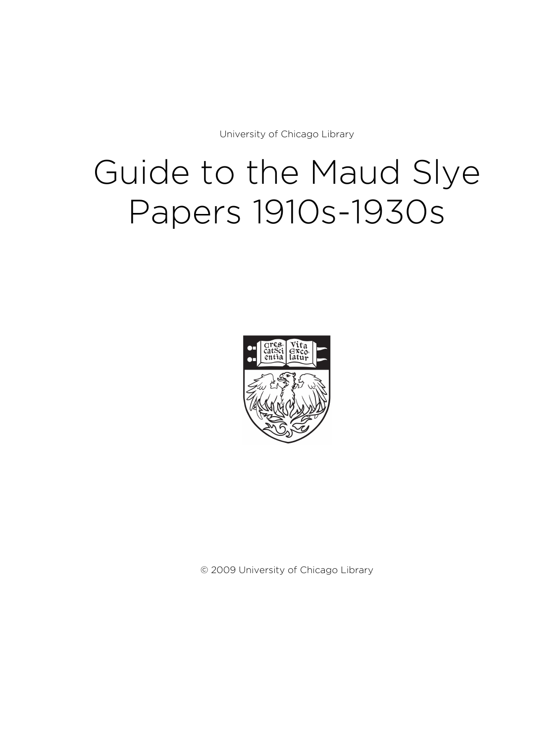University of Chicago Library

# Guide to the Maud Slye Papers 1910s-1930s



© 2009 University of Chicago Library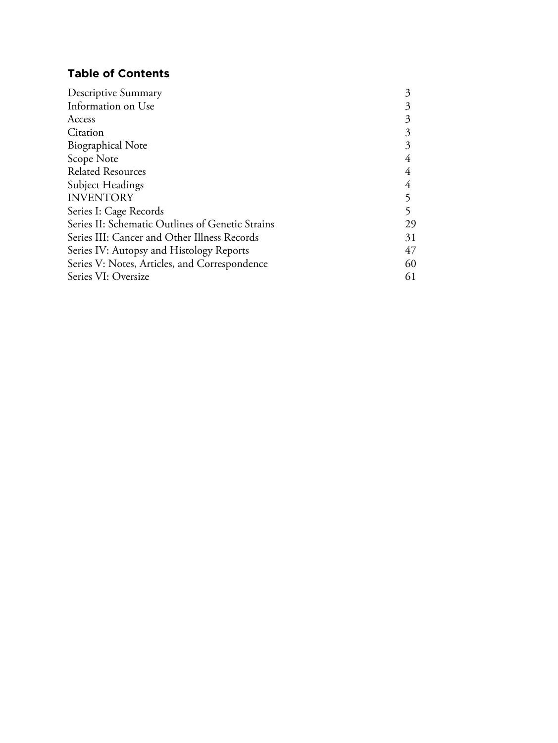# **Table of Contents**

| 3  |
|----|
| 3  |
| 3  |
| 3  |
| 3  |
|    |
|    |
|    |
|    |
|    |
| 29 |
| 31 |
| 47 |
| 60 |
| 61 |
|    |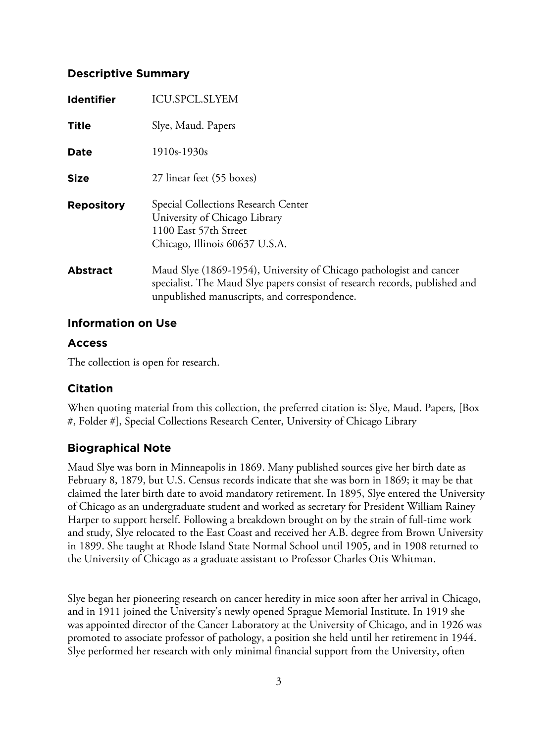# **Descriptive Summary**

| <b>Identifier</b> | <b>ICU.SPCL.SLYEM</b>                                                                                                                                                                              |
|-------------------|----------------------------------------------------------------------------------------------------------------------------------------------------------------------------------------------------|
| <b>Title</b>      | Slye, Maud. Papers                                                                                                                                                                                 |
| <b>Date</b>       | $1910s-1930s$                                                                                                                                                                                      |
| <b>Size</b>       | 27 linear feet (55 boxes)                                                                                                                                                                          |
| <b>Repository</b> | Special Collections Research Center<br>University of Chicago Library<br>1100 East 57th Street<br>Chicago, Illinois 60637 U.S.A.                                                                    |
| <b>Abstract</b>   | Maud Slye (1869-1954), University of Chicago pathologist and cancer<br>specialist. The Maud Slye papers consist of research records, published and<br>unpublished manuscripts, and correspondence. |

# **Information on Use**

# **Access**

The collection is open for research.

# **Citation**

When quoting material from this collection, the preferred citation is: Slye, Maud. Papers, [Box #, Folder #], Special Collections Research Center, University of Chicago Library

# **Biographical Note**

Maud Slye was born in Minneapolis in 1869. Many published sources give her birth date as February 8, 1879, but U.S. Census records indicate that she was born in 1869; it may be that claimed the later birth date to avoid mandatory retirement. In 1895, Slye entered the University of Chicago as an undergraduate student and worked as secretary for President William Rainey Harper to support herself. Following a breakdown brought on by the strain of full-time work and study, Slye relocated to the East Coast and received her A.B. degree from Brown University in 1899. She taught at Rhode Island State Normal School until 1905, and in 1908 returned to the University of Chicago as a graduate assistant to Professor Charles Otis Whitman.

Slye began her pioneering research on cancer heredity in mice soon after her arrival in Chicago, and in 1911 joined the University's newly opened Sprague Memorial Institute. In 1919 she was appointed director of the Cancer Laboratory at the University of Chicago, and in 1926 was promoted to associate professor of pathology, a position she held until her retirement in 1944. Slye performed her research with only minimal financial support from the University, often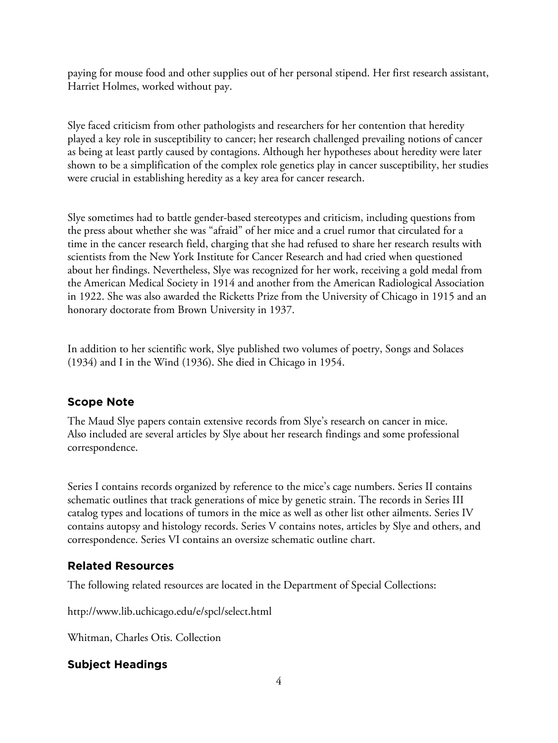paying for mouse food and other supplies out of her personal stipend. Her first research assistant, Harriet Holmes, worked without pay.

Slye faced criticism from other pathologists and researchers for her contention that heredity played a key role in susceptibility to cancer; her research challenged prevailing notions of cancer as being at least partly caused by contagions. Although her hypotheses about heredity were later shown to be a simplification of the complex role genetics play in cancer susceptibility, her studies were crucial in establishing heredity as a key area for cancer research.

Slye sometimes had to battle gender-based stereotypes and criticism, including questions from the press about whether she was "afraid" of her mice and a cruel rumor that circulated for a time in the cancer research field, charging that she had refused to share her research results with scientists from the New York Institute for Cancer Research and had cried when questioned about her findings. Nevertheless, Slye was recognized for her work, receiving a gold medal from the American Medical Society in 1914 and another from the American Radiological Association in 1922. She was also awarded the Ricketts Prize from the University of Chicago in 1915 and an honorary doctorate from Brown University in 1937.

In addition to her scientific work, Slye published two volumes of poetry, Songs and Solaces (1934) and I in the Wind (1936). She died in Chicago in 1954.

# **Scope Note**

The Maud Slye papers contain extensive records from Slye's research on cancer in mice. Also included are several articles by Slye about her research findings and some professional correspondence.

Series I contains records organized by reference to the mice's cage numbers. Series II contains schematic outlines that track generations of mice by genetic strain. The records in Series III catalog types and locations of tumors in the mice as well as other list other ailments. Series IV contains autopsy and histology records. Series V contains notes, articles by Slye and others, and correspondence. Series VI contains an oversize schematic outline chart.

# **Related Resources**

The following related resources are located in the Department of Special Collections:

http://www.lib.uchicago.edu/e/spcl/select.html

Whitman, Charles Otis. Collection

# **Subject Headings**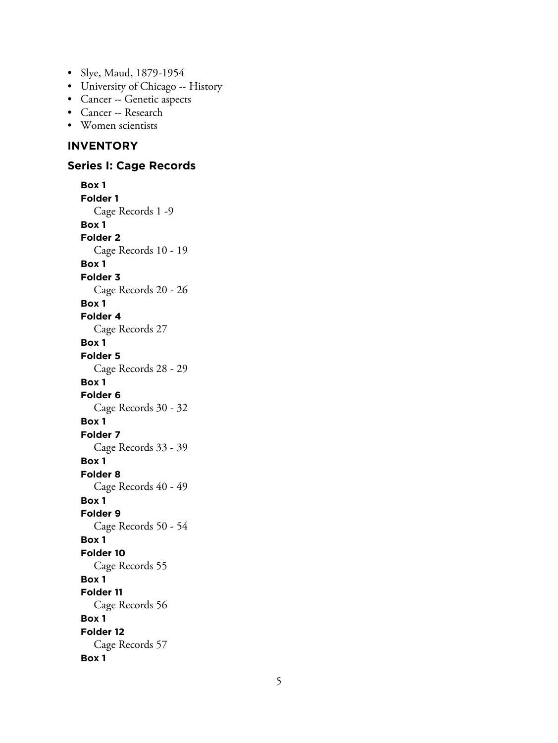- Slye, Maud, 1879-1954
- University of Chicago -- History
- Cancer -- Genetic aspects
- Cancer -- Research
- Women scientists

# **INVENTORY**

## **Series I: Cage Records**

**Box 1 Folder 1** Cage Records 1 -9 **Box 1 Folder 2** Cage Records 10 - 19 **Box 1 Folder 3** Cage Records 20 - 26 **Box 1 Folder 4** Cage Records 27 **Box 1 Folder 5** Cage Records 28 - 29 **Box 1 Folder 6** Cage Records 30 - 32 **Box 1 Folder 7** Cage Records 33 - 39 **Box 1 Folder 8** Cage Records 40 - 49 **Box 1 Folder 9** Cage Records 50 - 54 **Box 1 Folder 10** Cage Records 55 **Box 1 Folder 11** Cage Records 56 **Box 1 Folder 12** Cage Records 57 **Box 1**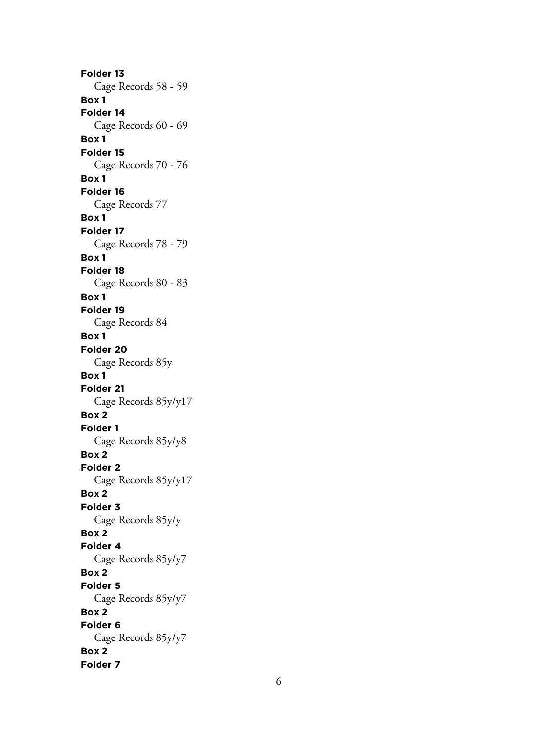**Folder 13** Cage Records 58 - 59 **Box 1 Folder 14** Cage Records 60 - 69 **Box 1 Folder 15** Cage Records 70 - 76 **Box 1 Folder 16** Cage Records 77 **Box 1 Folder 17** Cage Records 78 - 79 **Box 1 Folder 18** Cage Records 80 - 83 **Box 1 Folder 19** Cage Records 84 **Box 1 Folder 20** Cage Records 85y **Box 1 Folder 21** Cage Records 85y/y17 **Box 2 Folder 1** Cage Records 85y/y8 **Box 2 Folder 2** Cage Records 85y/y17 **Box 2 Folder 3** Cage Records 85y/y **Box 2 Folder 4** Cage Records 85y/y7 **Box 2 Folder 5** Cage Records 85y/y7 **Box 2 Folder 6** Cage Records 85y/y7 **Box 2 Folder 7**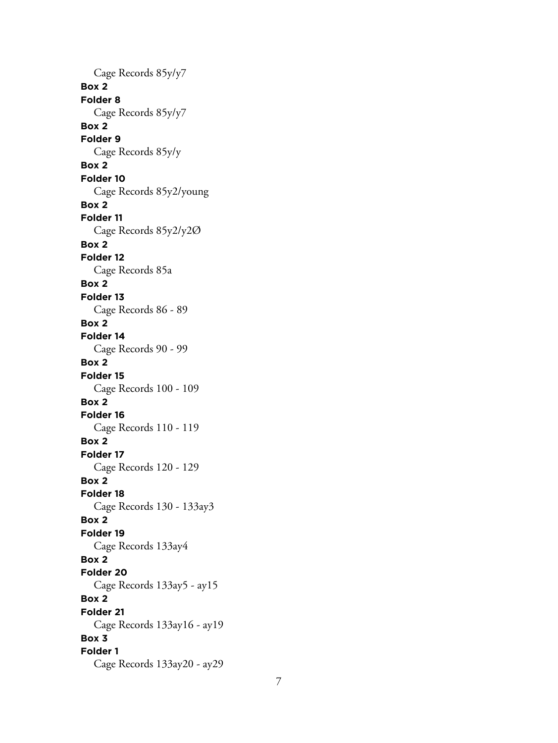Cage Records 85y/y7 **Box 2 Folder 8** Cage Records 85y/y7 **Box 2 Folder 9** Cage Records 85y/y **Box 2 Folder 10** Cage Records 85y2/young **Box 2 Folder 11** Cage Records 85y2/y2Ø **Box 2 Folder 12** Cage Records 85a **Box 2 Folder 13** Cage Records 86 - 89 **Box 2 Folder 14** Cage Records 90 - 99 **Box 2 Folder 15** Cage Records 100 - 109 **Box 2 Folder 16** Cage Records 110 - 119 **Box 2 Folder 17** Cage Records 120 - 129 **Box 2 Folder 18** Cage Records 130 - 133ay3 **Box 2 Folder 19** Cage Records 133ay4 **Box 2 Folder 20** Cage Records 133ay5 - ay15 **Box 2 Folder 21** Cage Records 133ay16 - ay19 **Box 3 Folder 1** Cage Records 133ay20 - ay29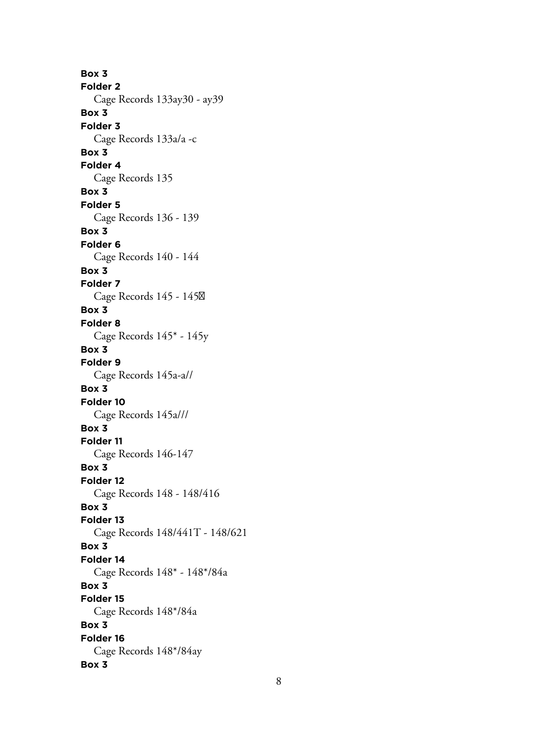**Box 3 Folder 2** Cage Records 133ay30 - ay39 **Box 3 Folder 3** Cage Records 133a/a -c **Box 3 Folder 4** Cage Records 135 **Box 3 Folder 5** Cage Records 136 - 139 **Box 3 Folder 6** Cage Records 140 - 144 **Box 3 Folder 7** Cage Records 145 - 145 **Box 3 Folder 8** Cage Records 145\* - 145y **Box 3 Folder 9** Cage Records 145a-a// **Box 3 Folder 10** Cage Records 145a/// **Box 3 Folder 11** Cage Records 146-147 **Box 3 Folder 12** Cage Records 148 - 148/416 **Box 3 Folder 13** Cage Records 148/441T - 148/621 **Box 3 Folder 14** Cage Records 148\* - 148\*/84a **Box 3 Folder 15** Cage Records 148\*/84a **Box 3 Folder 16** Cage Records 148\*/84ay **Box 3**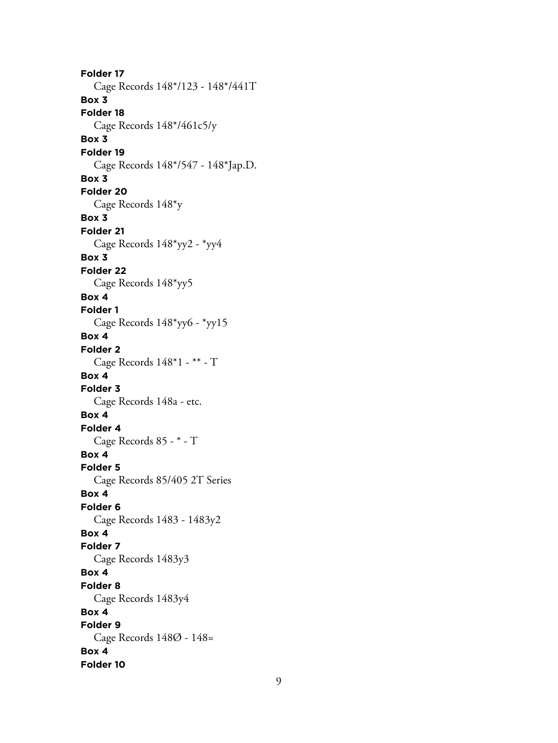**Folder 17** Cage Records 148\*/123 - 148\*/441T **Box 3 Folder 18** Cage Records 148\*/461c5/y **Box 3 Folder 19** Cage Records 148\*/547 - 148\*Jap.D. **Box 3 Folder 20** Cage Records 148\*y **Box 3 Folder 21** Cage Records 148\*yy2 - \*yy4 **Box 3 Folder 22** Cage Records 148\*yy5 **Box 4 Folder 1** Cage Records 148\*yy6 - \*yy15 **Box 4 Folder 2** Cage Records 148\*1 - \*\* - T **Box 4 Folder 3** Cage Records 148a - etc. **Box 4 Folder 4** Cage Records 85 - \* - T **Box 4 Folder 5** Cage Records 85/405 2T Series **Box 4 Folder 6** Cage Records 1483 - 1483y2 **Box 4 Folder 7** Cage Records 1483y3 **Box 4 Folder 8** Cage Records 1483y4 **Box 4 Folder 9** Cage Records 148Ø - 148= **Box 4 Folder 10**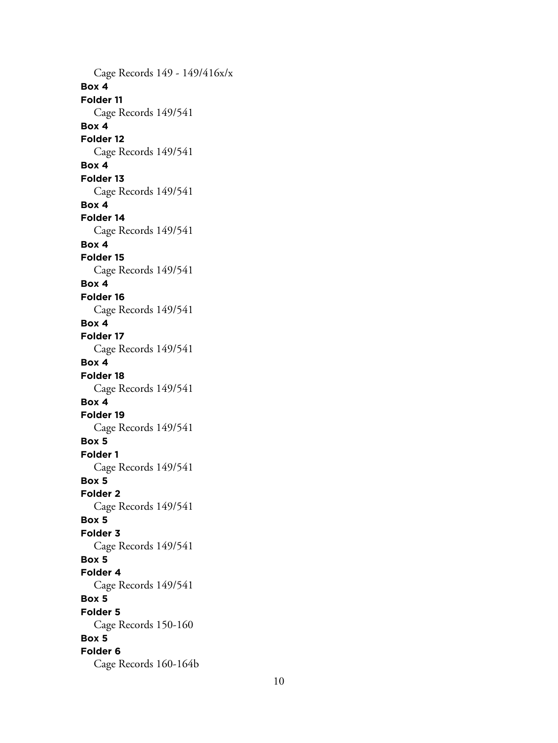Cage Records 149 - 149/416x/x **Box 4 Folder 11** Cage Records 149/541 **Box 4 Folder 12** Cage Records 149/541 **Box 4 Folder 13** Cage Records 149/541 **Box 4 Folder 14** Cage Records 149/541 **Box 4 Folder 15** Cage Records 149/541 **Box 4 Folder 16** Cage Records 149/541 **Box 4 Folder 17** Cage Records 149/541 **Box 4 Folder 18** Cage Records 149/541 **Box 4 Folder 19** Cage Records 149/541 **Box 5 Folder 1** Cage Records 149/541 **Box 5 Folder 2** Cage Records 149/541 **Box 5 Folder 3** Cage Records 149/541 **Box 5 Folder 4** Cage Records 149/541 **Box 5 Folder 5** Cage Records 150-160 **Box 5 Folder 6** Cage Records 160-164b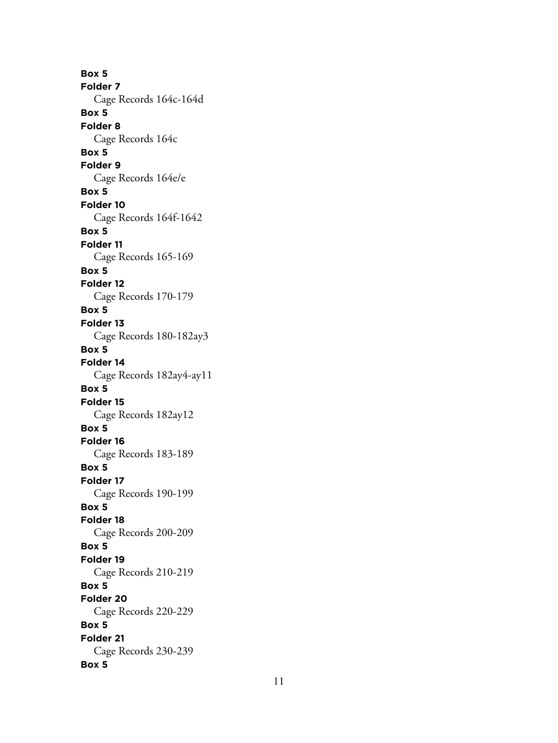**Box 5 Folder 7** Cage Records 164c-164d **Box 5 Folder 8** Cage Records 164c **Box 5 Folder 9** Cage Records 164e/e **Box 5 Folder 10** Cage Records 164f-1642 **Box 5 Folder 11** Cage Records 165-169 **Box 5 Folder 12** Cage Records 170-179 **Box 5 Folder 13** Cage Records 180-182ay3 **Box 5 Folder 14** Cage Records 182ay4-ay11 **Box 5 Folder 15** Cage Records 182ay12 **Box 5 Folder 16** Cage Records 183-189 **Box 5 Folder 17** Cage Records 190-199 **Box 5 Folder 18** Cage Records 200-209 **Box 5 Folder 19** Cage Records 210-219 **Box 5 Folder 20** Cage Records 220-229 **Box 5 Folder 21** Cage Records 230-239 **Box 5**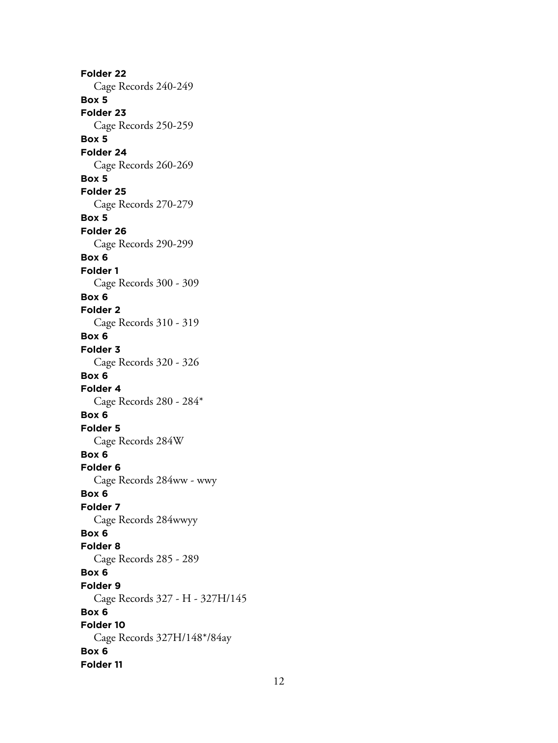**Folder 22** Cage Records 240-249 **Box 5 Folder 23** Cage Records 250-259 **Box 5 Folder 24** Cage Records 260-269 **Box 5 Folder 25** Cage Records 270-279 **Box 5 Folder 26** Cage Records 290-299 **Box 6 Folder 1** Cage Records 300 - 309 **Box 6 Folder 2** Cage Records 310 - 319 **Box 6 Folder 3** Cage Records 320 - 326 **Box 6 Folder 4** Cage Records 280 - 284\* **Box 6 Folder 5** Cage Records 284W **Box 6 Folder 6** Cage Records 284ww - wwy **Box 6 Folder 7** Cage Records 284wwyy **Box 6 Folder 8** Cage Records 285 - 289 **Box 6 Folder 9** Cage Records 327 - H - 327H/145 **Box 6 Folder 10** Cage Records 327H/148\*/84ay **Box 6 Folder 11**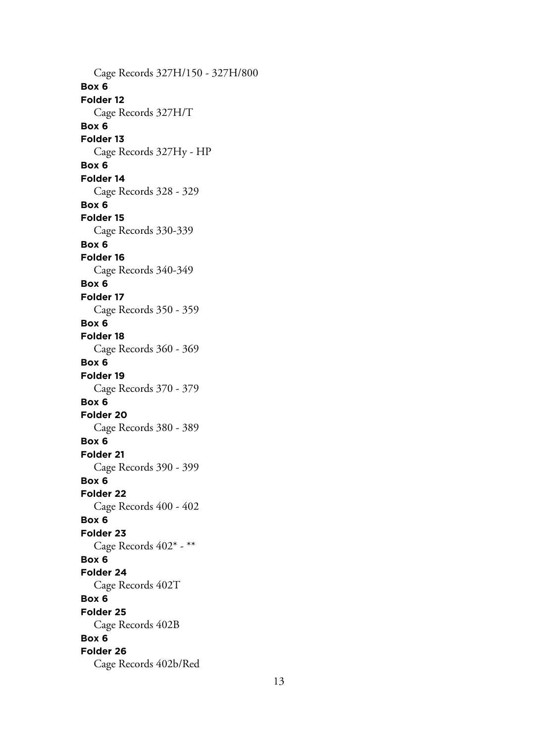Cage Records 327H/150 - 327H/800 **Box 6 Folder 12** Cage Records 327H/T **Box 6 Folder 13** Cage Records 327Hy - HP **Box 6 Folder 14** Cage Records 328 - 329 **Box 6 Folder 15** Cage Records 330-339 **Box 6 Folder 16** Cage Records 340-349 **Box 6 Folder 17** Cage Records 350 - 359 **Box 6 Folder 18** Cage Records 360 - 369 **Box 6 Folder 19** Cage Records 370 - 379 **Box 6 Folder 20** Cage Records 380 - 389 **Box 6 Folder 21** Cage Records 390 - 399 **Box 6 Folder 22** Cage Records 400 - 402 **Box 6 Folder 23** Cage Records 402\* - \*\* **Box 6 Folder 24** Cage Records 402T **Box 6 Folder 25** Cage Records 402B **Box 6 Folder 26** Cage Records 402b/Red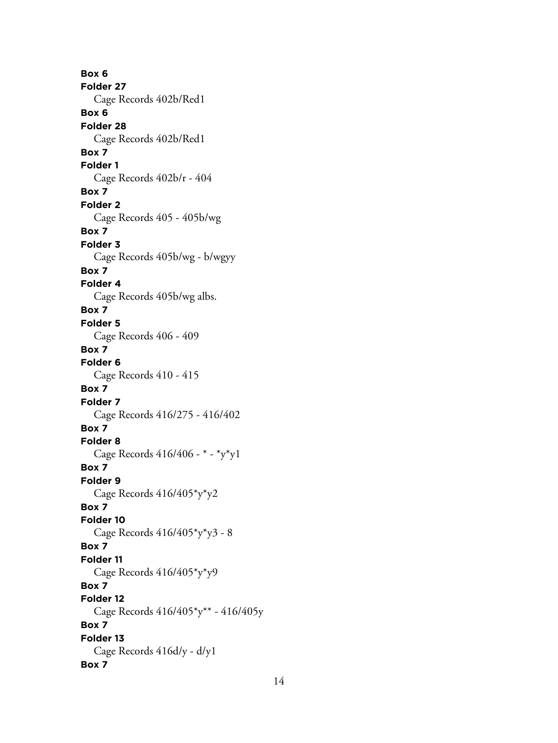**Box 6 Folder 27** Cage Records 402b/Red1 **Box 6 Folder 28** Cage Records 402b/Red1 **Box 7 Folder 1** Cage Records 402b/r - 404 **Box 7 Folder 2** Cage Records 405 - 405b/wg **Box 7 Folder 3** Cage Records 405b/wg - b/wgyy **Box 7 Folder 4** Cage Records 405b/wg albs. **Box 7 Folder 5** Cage Records 406 - 409 **Box 7 Folder 6** Cage Records 410 - 415 **Box 7 Folder 7** Cage Records 416/275 - 416/402 **Box 7 Folder 8** Cage Records 416/406 - \* - \*y\*y1 **Box 7 Folder 9** Cage Records 416/405\*y\*y2 **Box 7 Folder 10** Cage Records 416/405\*y\*y3 - 8 **Box 7 Folder 11** Cage Records 416/405\*y\*y9 **Box 7 Folder 12** Cage Records 416/405\*y\*\* - 416/405y **Box 7 Folder 13** Cage Records 416d/y - d/y1 **Box 7**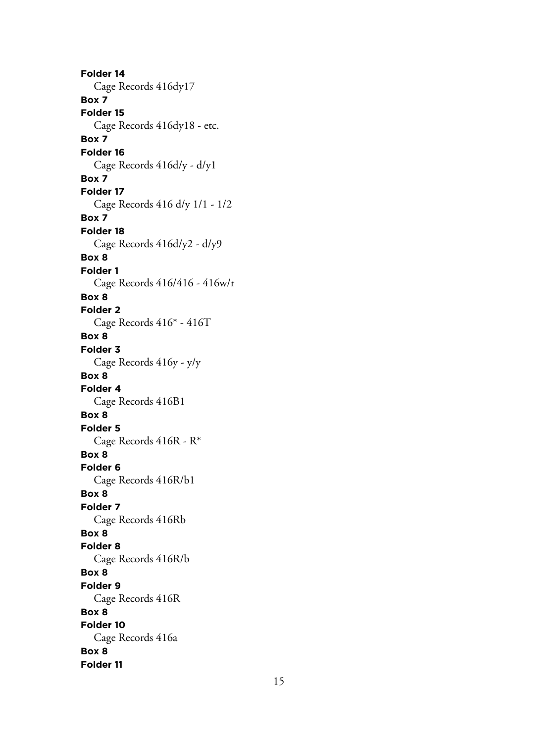**Folder 14** Cage Records 416dy17 **Box 7 Folder 15** Cage Records 416dy18 - etc. **Box 7 Folder 16** Cage Records 416d/y - d/y1 **Box 7 Folder 17** Cage Records 416 d/y 1/1 - 1/2 **Box 7 Folder 18** Cage Records 416d/y2 - d/y9 **Box 8 Folder 1** Cage Records 416/416 - 416w/r **Box 8 Folder 2** Cage Records 416\* - 416T **Box 8 Folder 3** Cage Records 416y - y/y **Box 8 Folder 4** Cage Records 416B1 **Box 8 Folder 5** Cage Records 416R - R\* **Box 8 Folder 6** Cage Records 416R/b1 **Box 8 Folder 7** Cage Records 416Rb **Box 8 Folder 8** Cage Records 416R/b **Box 8 Folder 9** Cage Records 416R **Box 8 Folder 10** Cage Records 416a **Box 8 Folder 11**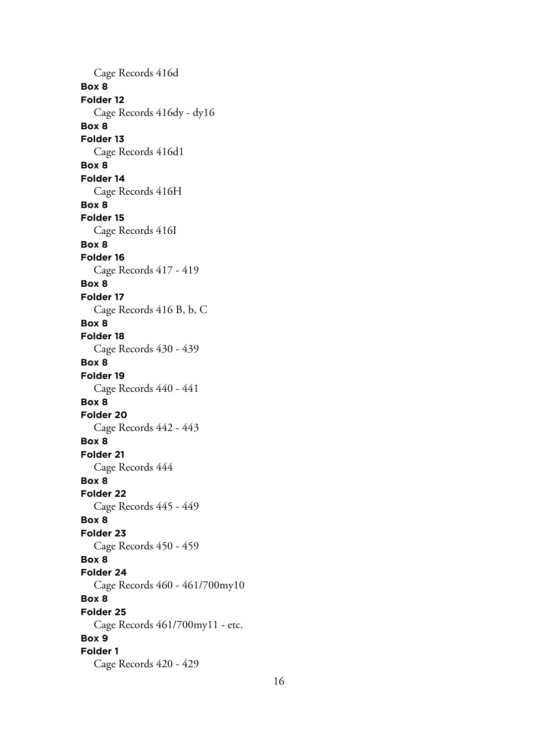Cage Records 416d **Box 8 Folder 12** Cage Records 416dy - dy16 **Box 8 Folder 13** Cage Records 416d1 **Box 8 Folder 14** Cage Records 416H **Box 8 Folder 15** Cage Records 416I **Box 8 Folder 16** Cage Records 417 - 419 **Box 8 Folder 17** Cage Records 416 B, b, C **Box 8 Folder 18** Cage Records 430 - 439 **Box 8 Folder 19** Cage Records 440 - 441 **Box 8 Folder 20** Cage Records 442 - 443 **Box 8 Folder 21** Cage Records 444 **Box 8 Folder 22** Cage Records 445 - 449 **Box 8 Folder 23** Cage Records 450 - 459 **Box 8 Folder 24** Cage Records 460 - 461/700my10 **Box 8 Folder 25** Cage Records 461/700my11 - etc. **Box 9 Folder 1** Cage Records 420 - 429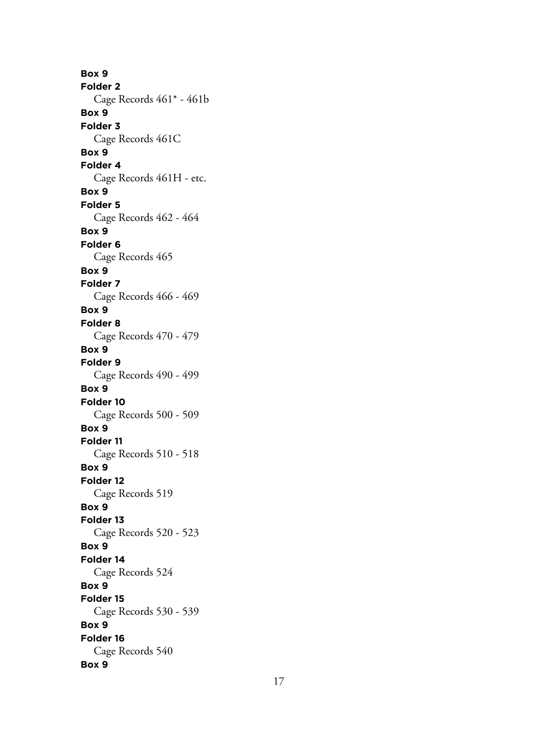**Box 9 Folder 2** Cage Records 461\* - 461b **Box 9 Folder 3** Cage Records 461C **Box 9 Folder 4** Cage Records 461H - etc. **Box 9 Folder 5** Cage Records 462 - 464 **Box 9 Folder 6** Cage Records 465 **Box 9 Folder 7** Cage Records 466 - 469 **Box 9 Folder 8** Cage Records 470 - 479 **Box 9 Folder 9** Cage Records 490 - 499 **Box 9 Folder 10** Cage Records 500 - 509 **Box 9 Folder 11** Cage Records 510 - 518 **Box 9 Folder 12** Cage Records 519 **Box 9 Folder 13** Cage Records 520 - 523 **Box 9 Folder 14** Cage Records 524 **Box 9 Folder 15** Cage Records 530 - 539 **Box 9 Folder 16** Cage Records 540 **Box 9**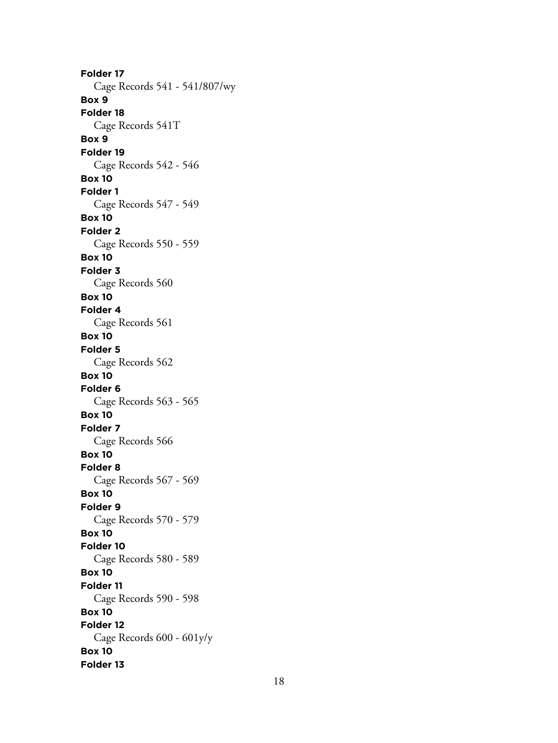**Folder 17** Cage Records 541 - 541/807/wy **Box 9 Folder 18** Cage Records 541T **Box 9 Folder 19** Cage Records 542 - 546 **Box 10 Folder 1** Cage Records 547 - 549 **Box 10 Folder 2** Cage Records 550 - 559 **Box 10 Folder 3** Cage Records 560 **Box 10 Folder 4** Cage Records 561 **Box 10 Folder 5** Cage Records 562 **Box 10 Folder 6** Cage Records 563 - 565 **Box 10 Folder 7** Cage Records 566 **Box 10 Folder 8** Cage Records 567 - 569 **Box 10 Folder 9** Cage Records 570 - 579 **Box 10 Folder 10** Cage Records 580 - 589 **Box 10 Folder 11** Cage Records 590 - 598 **Box 10 Folder 12** Cage Records 600 - 601y/y **Box 10 Folder 13**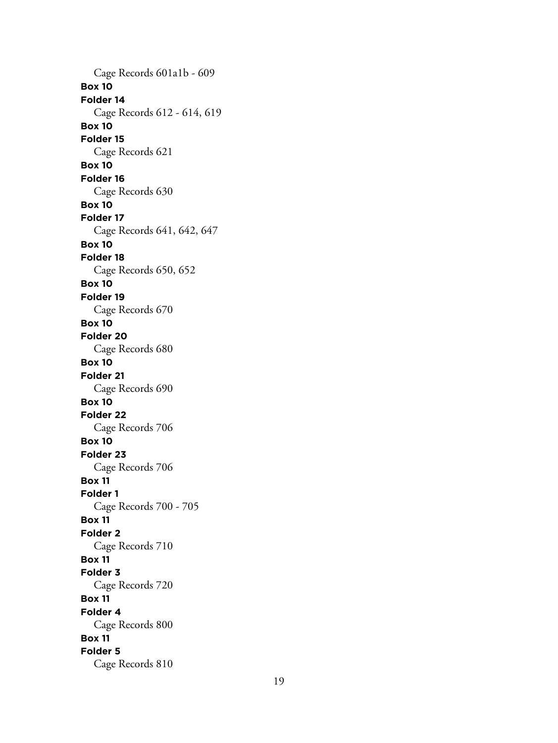Cage Records 601a1b - 609 **Box 10 Folder 14** Cage Records 612 - 614, 619 **Box 10 Folder 15** Cage Records 621 **Box 10 Folder 16** Cage Records 630 **Box 10 Folder 17** Cage Records 641, 642, 647 **Box 10 Folder 18** Cage Records 650, 652 **Box 10 Folder 19** Cage Records 670 **Box 10 Folder 20** Cage Records 680 **Box 10 Folder 21** Cage Records 690 **Box 10 Folder 22** Cage Records 706 **Box 10 Folder 23** Cage Records 706 **Box 11 Folder 1** Cage Records 700 - 705 **Box 11 Folder 2** Cage Records 710 **Box 11 Folder 3** Cage Records 720 **Box 11 Folder 4** Cage Records 800 **Box 11 Folder 5** Cage Records 810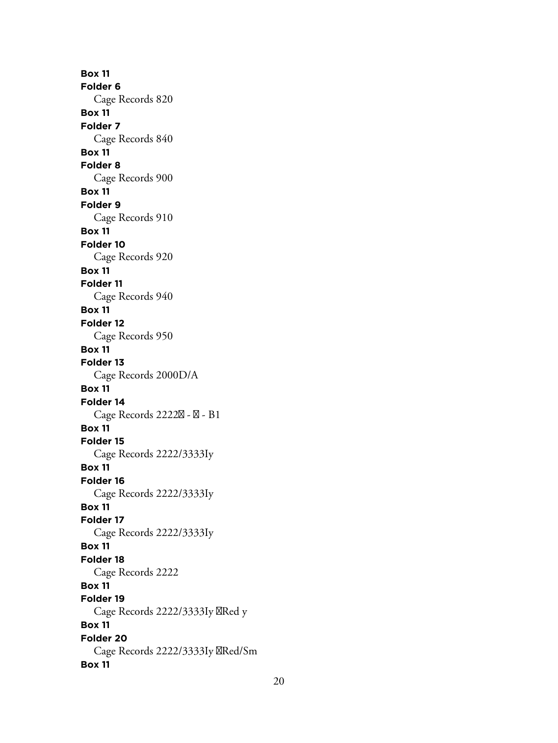**Box 11 Folder 6** Cage Records 820 **Box 11 Folder 7** Cage Records 840 **Box 11 Folder 8** Cage Records 900 **Box 11 Folder 9** Cage Records 910 **Box 11 Folder 10** Cage Records 920 **Box 11 Folder 11** Cage Records 940 **Box 11 Folder 12** Cage Records 950 **Box 11 Folder 13** Cage Records 2000D/A **Box 11 Folder 14** Cage Records 2222 $\boxtimes$  -  $\boxtimes$  - B1 **Box 11 Folder 15** Cage Records 2222/3333Iy **Box 11 Folder 16** Cage Records 2222/3333Iy **Box 11 Folder 17** Cage Records 2222/3333Iy **Box 11 Folder 18** Cage Records 2222 **Box 11 Folder 19** Cage Records 2222/3333Iy XRed y **Box 11 Folder 20** Cage Records 2222/3333Iy **XRed/Sm Box 11**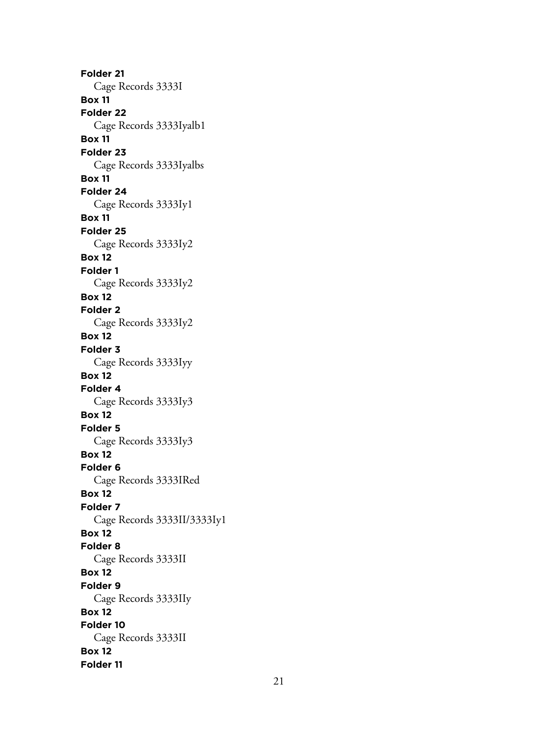**Folder 21** Cage Records 3333I **Box 11 Folder 22** Cage Records 3333Iyalb1 **Box 11 Folder 23** Cage Records 3333Iyalbs **Box 11 Folder 24** Cage Records 3333Iy1 **Box 11 Folder 25** Cage Records 3333Iy2 **Box 12 Folder 1** Cage Records 3333Iy2 **Box 12 Folder 2** Cage Records 3333Iy2 **Box 12 Folder 3** Cage Records 3333Iyy **Box 12 Folder 4** Cage Records 3333Iy3 **Box 12 Folder 5** Cage Records 3333Iy3 **Box 12 Folder 6** Cage Records 3333IRed **Box 12 Folder 7** Cage Records 3333II/3333Iy1 **Box 12 Folder 8** Cage Records 3333II **Box 12 Folder 9** Cage Records 3333IIy **Box 12 Folder 10** Cage Records 3333II **Box 12 Folder 11**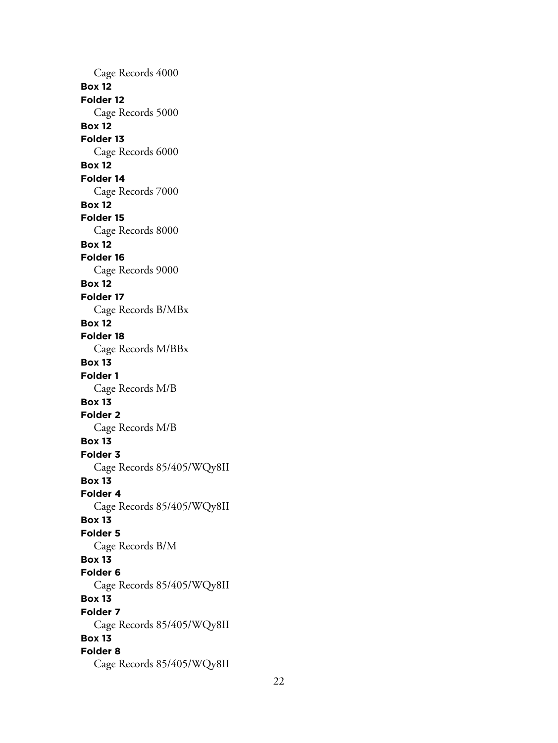Cage Records 4000 **Box 12 Folder 12** Cage Records 5000 **Box 12 Folder 13** Cage Records 6000 **Box 12 Folder 14** Cage Records 7000 **Box 12 Folder 15** Cage Records 8000 **Box 12 Folder 16** Cage Records 9000 **Box 12 Folder 17** Cage Records B/MBx **Box 12 Folder 18** Cage Records M/BBx **Box 13 Folder 1** Cage Records M/B **Box 13 Folder 2** Cage Records M/B **Box 13 Folder 3** Cage Records 85/405/WQy8II **Box 13 Folder 4** Cage Records 85/405/WQy8II **Box 13 Folder 5** Cage Records B/M **Box 13 Folder 6** Cage Records 85/405/WQy8II **Box 13 Folder 7** Cage Records 85/405/WQy8II **Box 13 Folder 8** Cage Records 85/405/WQy8II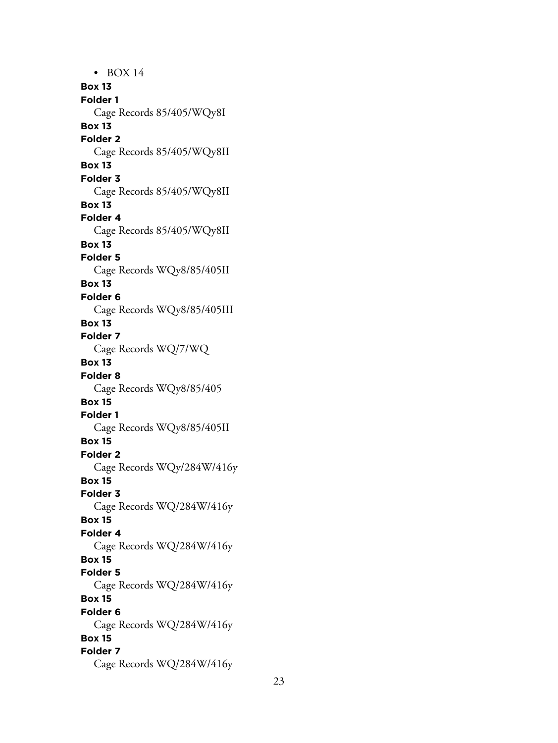• BOX 14 **Box 13 Folder 1** Cage Records 85/405/WQy8I **Box 13 Folder 2** Cage Records 85/405/WQy8II **Box 13 Folder 3** Cage Records 85/405/WQy8II **Box 13 Folder 4** Cage Records 85/405/WQy8II **Box 13 Folder 5** Cage Records WQy8/85/405II **Box 13 Folder 6** Cage Records WQy8/85/405III **Box 13 Folder 7** Cage Records WQ/7/WQ **Box 13 Folder 8** Cage Records WQy8/85/405 **Box 15 Folder 1** Cage Records WQy8/85/405II **Box 15 Folder 2** Cage Records WQy/284W/416y **Box 15 Folder 3** Cage Records WQ/284W/416y **Box 15 Folder 4** Cage Records WQ/284W/416y **Box 15 Folder 5** Cage Records WQ/284W/416y **Box 15 Folder 6** Cage Records WQ/284W/416y **Box 15 Folder 7** Cage Records WQ/284W/416y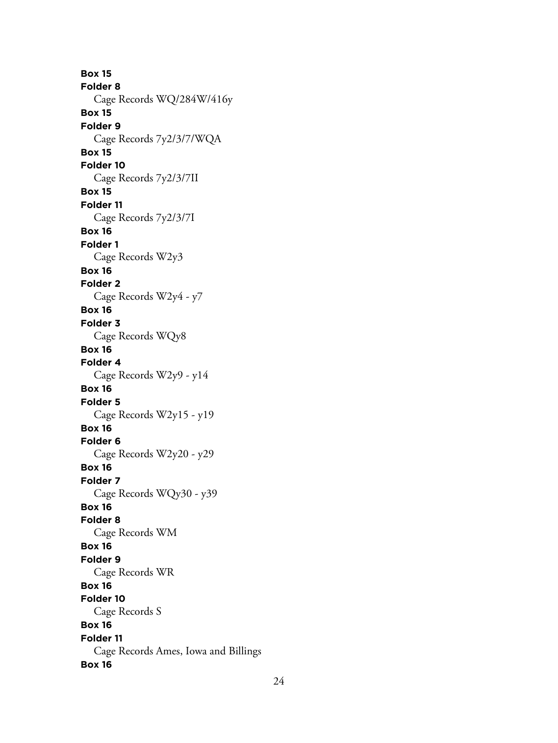**Box 15 Folder 8** Cage Records WQ/284W/416y **Box 15 Folder 9** Cage Records 7y2/3/7/WQA **Box 15 Folder 10** Cage Records 7y2/3/7II **Box 15 Folder 11** Cage Records 7y2/3/7I **Box 16 Folder 1** Cage Records W2y3 **Box 16 Folder 2** Cage Records W2y4 - y7 **Box 16 Folder 3** Cage Records WQy8 **Box 16 Folder 4** Cage Records W2y9 - y14 **Box 16 Folder 5** Cage Records W2y15 - y19 **Box 16 Folder 6** Cage Records W2y20 - y29 **Box 16 Folder 7** Cage Records WQy30 - y39 **Box 16 Folder 8** Cage Records WM **Box 16 Folder 9** Cage Records WR **Box 16 Folder 10** Cage Records S **Box 16 Folder 11** Cage Records Ames, Iowa and Billings **Box 16**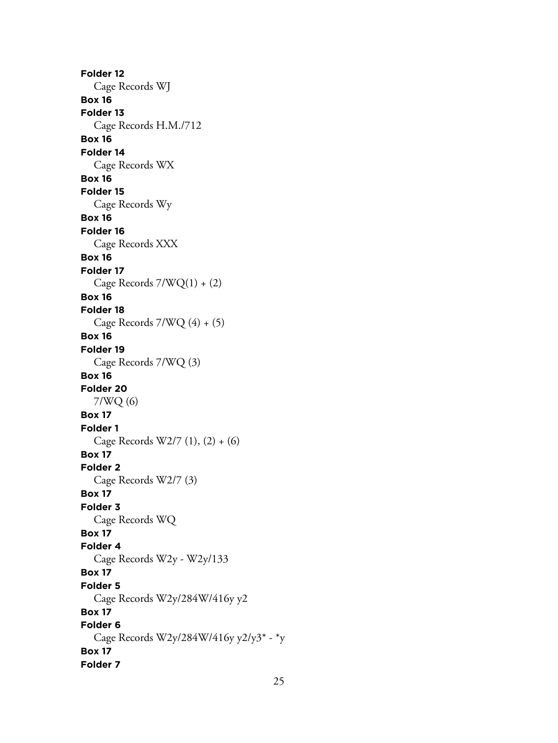**Folder 12** Cage Records WJ **Box 16 Folder 13** Cage Records H.M./712 **Box 16 Folder 14** Cage Records WX **Box 16 Folder 15** Cage Records Wy **Box 16 Folder 16** Cage Records XXX **Box 16 Folder 17** Cage Records 7/WQ(1) + (2) **Box 16 Folder 18** Cage Records 7/WQ (4) + (5) **Box 16 Folder 19** Cage Records 7/WQ (3) **Box 16 Folder 20** 7/WQ (6) **Box 17 Folder 1** Cage Records W2/7 (1), (2) + (6) **Box 17 Folder 2** Cage Records W2/7 (3) **Box 17 Folder 3** Cage Records WQ **Box 17 Folder 4** Cage Records W2y - W2y/133 **Box 17 Folder 5** Cage Records W2y/284W/416y y2 **Box 17 Folder 6** Cage Records W2y/284W/416y y2/y3\* - \*y **Box 17 Folder 7**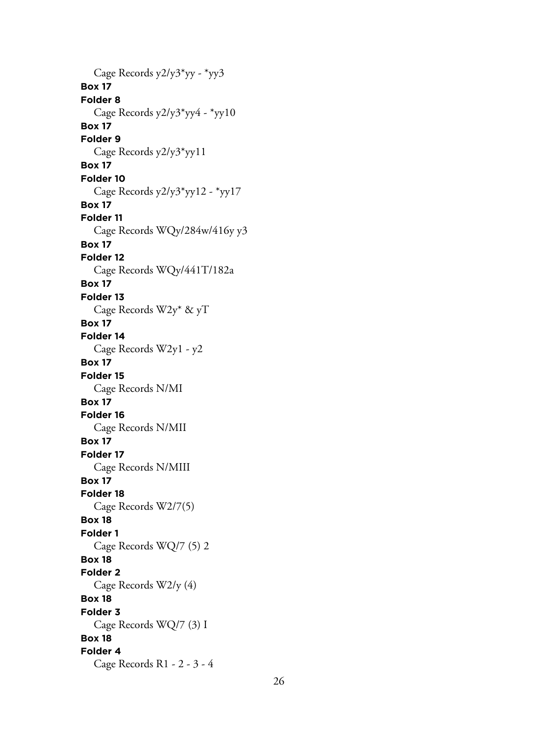Cage Records y2/y3\*yy - \*yy3 **Box 17 Folder 8** Cage Records y2/y3\*yy4 - \*yy10 **Box 17 Folder 9** Cage Records y2/y3\*yy11 **Box 17 Folder 10** Cage Records y2/y3\*yy12 - \*yy17 **Box 17 Folder 11** Cage Records WQy/284w/416y y3 **Box 17 Folder 12** Cage Records WQy/441T/182a **Box 17 Folder 13** Cage Records W2y\* & yT **Box 17 Folder 14** Cage Records W2y1 - y2 **Box 17 Folder 15** Cage Records N/MI **Box 17 Folder 16** Cage Records N/MII **Box 17 Folder 17** Cage Records N/MIII **Box 17 Folder 18** Cage Records W2/7(5) **Box 18 Folder 1** Cage Records WQ/7 (5) 2 **Box 18 Folder 2** Cage Records W2/y (4) **Box 18 Folder 3** Cage Records WQ/7 (3) I **Box 18 Folder 4** Cage Records R1 - 2 - 3 - 4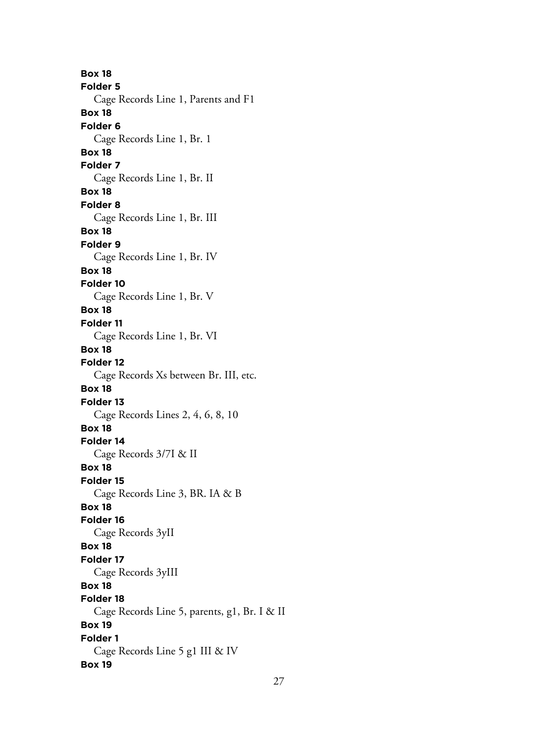**Box 18 Folder 5** Cage Records Line 1, Parents and F1 **Box 18 Folder 6** Cage Records Line 1, Br. 1 **Box 18 Folder 7** Cage Records Line 1, Br. II **Box 18 Folder 8** Cage Records Line 1, Br. III **Box 18 Folder 9** Cage Records Line 1, Br. IV **Box 18 Folder 10** Cage Records Line 1, Br. V **Box 18 Folder 11** Cage Records Line 1, Br. VI **Box 18 Folder 12** Cage Records Xs between Br. III, etc. **Box 18 Folder 13** Cage Records Lines 2, 4, 6, 8, 10 **Box 18 Folder 14** Cage Records 3/7I & II **Box 18 Folder 15** Cage Records Line 3, BR. IA & B **Box 18 Folder 16** Cage Records 3yII **Box 18 Folder 17** Cage Records 3yIII **Box 18 Folder 18** Cage Records Line 5, parents, g1, Br. I & II **Box 19 Folder 1** Cage Records Line 5 g1 III & IV **Box 19**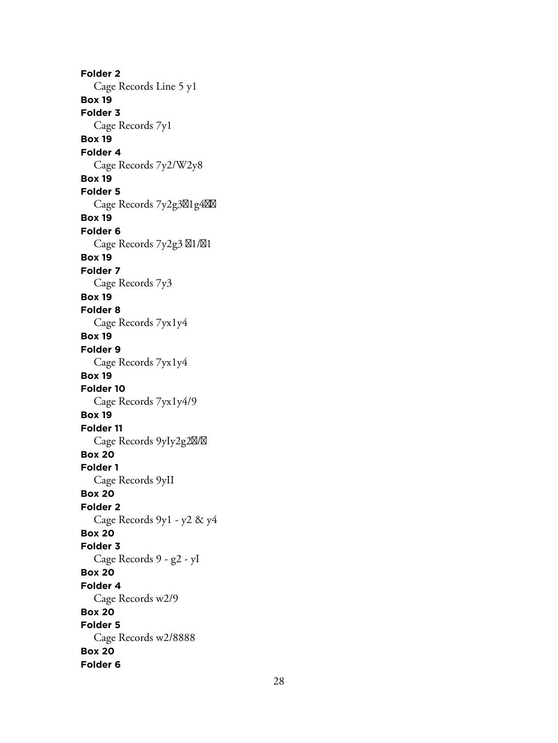**Folder 2** Cage Records Line 5 y1 **Box 19 Folder 3** Cage Records 7y1 **Box 19 Folder 4** Cage Records 7y2/W2y8 **Box 19 Folder 5** Cage Records 7y2g3<sub> $\boxtimes$ 1g4 $\boxtimes$ </sub> **Box 19 Folder 6** Cage Records 7y2g3  $\boxtimes$ 1/ $\boxtimes$ 1 **Box 19 Folder 7** Cage Records 7y3 **Box 19 Folder 8** Cage Records 7yx1y4 **Box 19 Folder 9** Cage Records 7yx1y4 **Box 19 Folder 10** Cage Records 7yx1y4/9 **Box 19 Folder 11** Cage Records 9yIy2g2 $\boxtimes$ / $\boxtimes$ **Box 20 Folder 1** Cage Records 9yII **Box 20 Folder 2** Cage Records 9y1 - y2 & y4 **Box 20 Folder 3** Cage Records 9 - g2 - yI **Box 20 Folder 4** Cage Records w2/9 **Box 20 Folder 5** Cage Records w2/8888 **Box 20 Folder 6**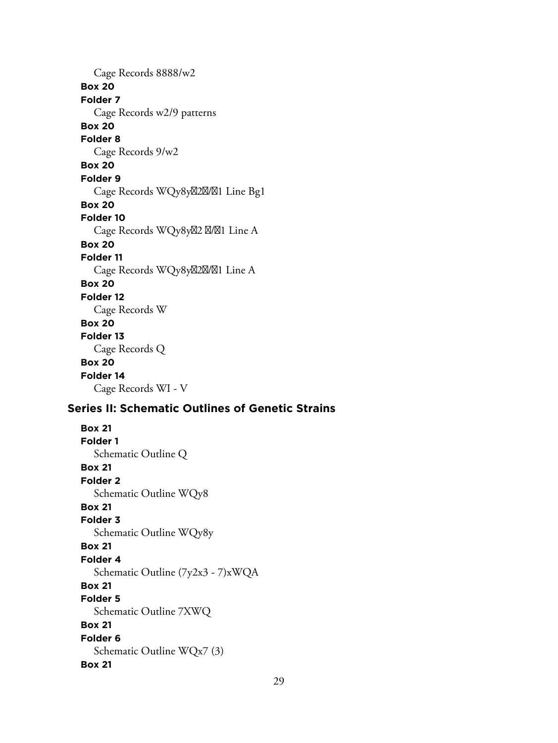Cage Records 8888/w2 **Box 20 Folder 7** Cage Records w2/9 patterns **Box 20 Folder 8** Cage Records 9/w2 **Box 20 Folder 9** Cage Records WQy8y22X/21 Line Bg1 **Box 20 Folder 10** Cage Records WQy8yX2 X/X1 Line A **Box 20 Folder 11** Cage Records WQy8y<sub>2</sub>2<sup>2</sup>M<sub>2</sub>1 Line A **Box 20 Folder 12** Cage Records W **Box 20 Folder 13** Cage Records Q **Box 20 Folder 14** Cage Records WI - V

# **Series II: Schematic Outlines of Genetic Strains**

**Box 21 Folder 1** Schematic Outline Q **Box 21 Folder 2** Schematic Outline WQy8 **Box 21 Folder 3** Schematic Outline WQy8y **Box 21 Folder 4** Schematic Outline (7y2x3 - 7)xWQA **Box 21 Folder 5** Schematic Outline 7XWQ **Box 21 Folder 6** Schematic Outline WQx7 (3) **Box 21**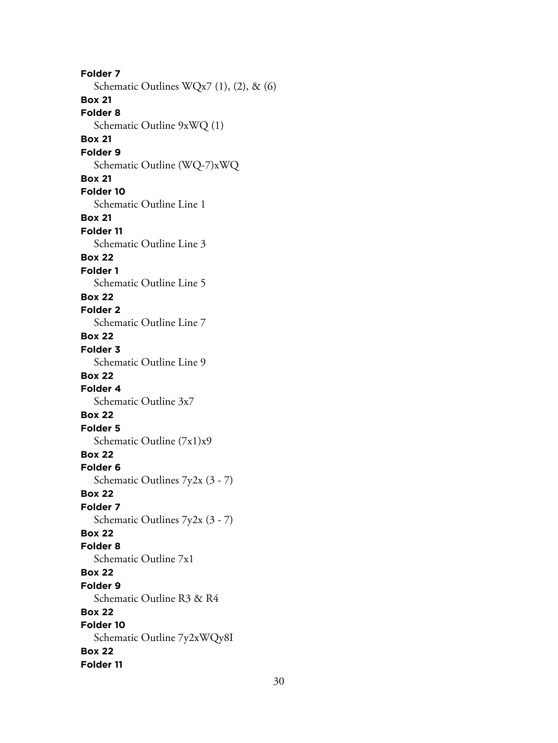**Folder 7** Schematic Outlines WQx7 (1), (2), & (6) **Box 21 Folder 8** Schematic Outline 9xWQ (1) **Box 21 Folder 9** Schematic Outline (WQ-7)xWQ **Box 21 Folder 10** Schematic Outline Line 1 **Box 21 Folder 11** Schematic Outline Line 3 **Box 22 Folder 1** Schematic Outline Line 5 **Box 22 Folder 2** Schematic Outline Line 7 **Box 22 Folder 3** Schematic Outline Line 9 **Box 22 Folder 4** Schematic Outline 3x7 **Box 22 Folder 5** Schematic Outline (7x1)x9 **Box 22 Folder 6** Schematic Outlines 7y2x (3 - 7) **Box 22 Folder 7** Schematic Outlines 7y2x (3 - 7) **Box 22 Folder 8** Schematic Outline 7x1 **Box 22 Folder 9** Schematic Outline R3 & R4 **Box 22 Folder 10** Schematic Outline 7y2xWQy8I **Box 22 Folder 11**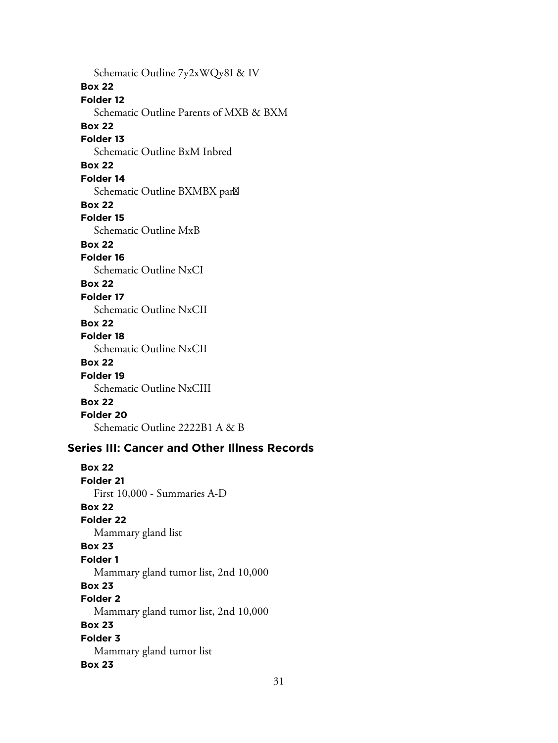Schematic Outline 7y2xWQy8I & IV **Box 22 Folder 12** Schematic Outline Parents of MXB & BXM **Box 22 Folder 13** Schematic Outline BxM Inbred **Box 22 Folder 14** Schematic Outline BXMBX par **Box 22 Folder 15** Schematic Outline MxB **Box 22 Folder 16** Schematic Outline NxCI **Box 22 Folder 17** Schematic Outline NxCII **Box 22 Folder 18** Schematic Outline NxCII **Box 22 Folder 19** Schematic Outline NxCIII **Box 22 Folder 20** Schematic Outline 2222B1 A & B

## **Series III: Cancer and Other Illness Records**

**Box 22 Folder 21** First 10,000 - Summaries A-D **Box 22 Folder 22** Mammary gland list **Box 23 Folder 1** Mammary gland tumor list, 2nd 10,000 **Box 23 Folder 2** Mammary gland tumor list, 2nd 10,000 **Box 23 Folder 3** Mammary gland tumor list **Box 23**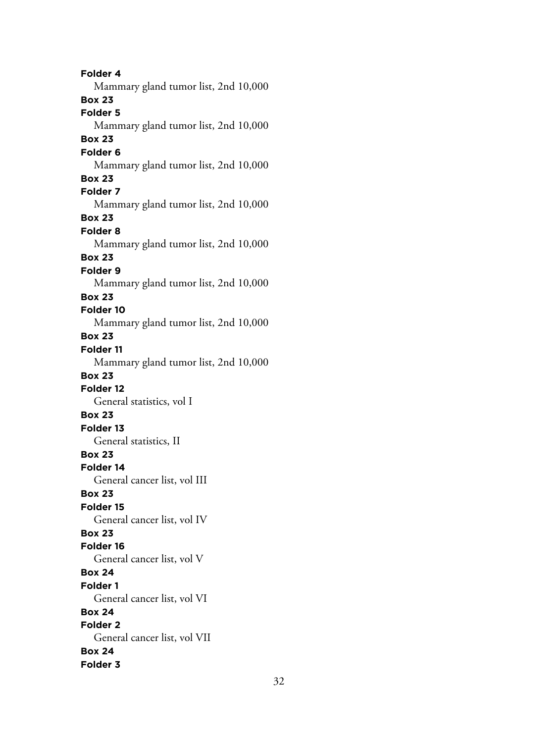**Folder 4** Mammary gland tumor list, 2nd 10,000 **Box 23 Folder 5** Mammary gland tumor list, 2nd 10,000 **Box 23 Folder 6** Mammary gland tumor list, 2nd 10,000 **Box 23 Folder 7** Mammary gland tumor list, 2nd 10,000 **Box 23 Folder 8** Mammary gland tumor list, 2nd 10,000 **Box 23 Folder 9** Mammary gland tumor list, 2nd 10,000 **Box 23 Folder 10** Mammary gland tumor list, 2nd 10,000 **Box 23 Folder 11** Mammary gland tumor list, 2nd 10,000 **Box 23 Folder 12** General statistics, vol I **Box 23 Folder 13** General statistics, II **Box 23 Folder 14** General cancer list, vol III **Box 23 Folder 15** General cancer list, vol IV **Box 23 Folder 16** General cancer list, vol V **Box 24 Folder 1** General cancer list, vol VI **Box 24 Folder 2** General cancer list, vol VII **Box 24 Folder 3**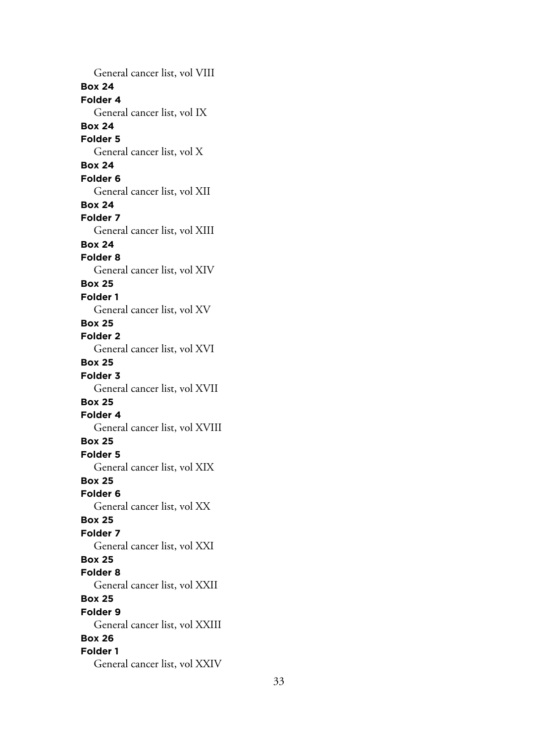General cancer list, vol VIII **Box 24 Folder 4** General cancer list, vol IX **Box 24 Folder 5** General cancer list, vol X **Box 24 Folder 6** General cancer list, vol XII **Box 24 Folder 7** General cancer list, vol XIII **Box 24 Folder 8** General cancer list, vol XIV **Box 25 Folder 1** General cancer list, vol XV **Box 25 Folder 2** General cancer list, vol XVI **Box 25 Folder 3** General cancer list, vol XVII **Box 25 Folder 4** General cancer list, vol XVIII **Box 25 Folder 5** General cancer list, vol XIX **Box 25 Folder 6** General cancer list, vol XX **Box 25 Folder 7** General cancer list, vol XXI **Box 25 Folder 8** General cancer list, vol XXII **Box 25 Folder 9** General cancer list, vol XXIII **Box 26 Folder 1** General cancer list, vol XXIV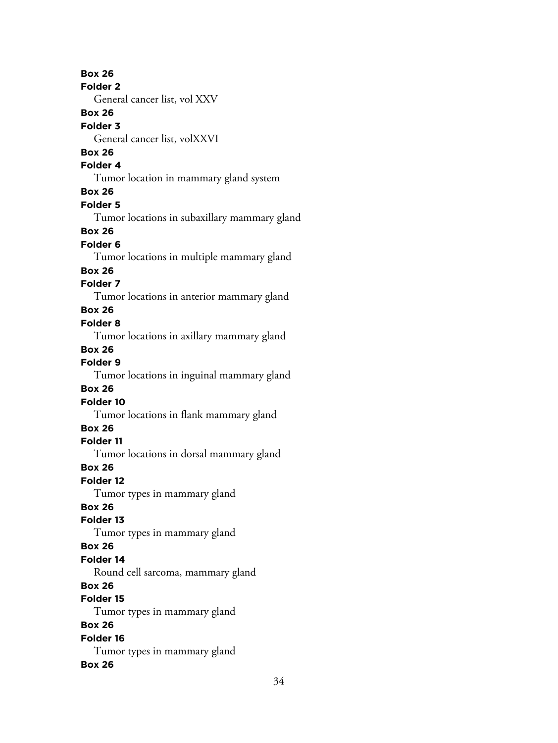**Box 26 Folder 2** General cancer list, vol XXV **Box 26 Folder 3** General cancer list, volXXVI **Box 26 Folder 4** Tumor location in mammary gland system **Box 26 Folder 5** Tumor locations in subaxillary mammary gland **Box 26 Folder 6** Tumor locations in multiple mammary gland **Box 26 Folder 7** Tumor locations in anterior mammary gland **Box 26 Folder 8** Tumor locations in axillary mammary gland **Box 26 Folder 9** Tumor locations in inguinal mammary gland **Box 26 Folder 10** Tumor locations in flank mammary gland **Box 26 Folder 11** Tumor locations in dorsal mammary gland **Box 26 Folder 12** Tumor types in mammary gland **Box 26 Folder 13** Tumor types in mammary gland **Box 26 Folder 14** Round cell sarcoma, mammary gland **Box 26 Folder 15** Tumor types in mammary gland **Box 26 Folder 16** Tumor types in mammary gland **Box 26**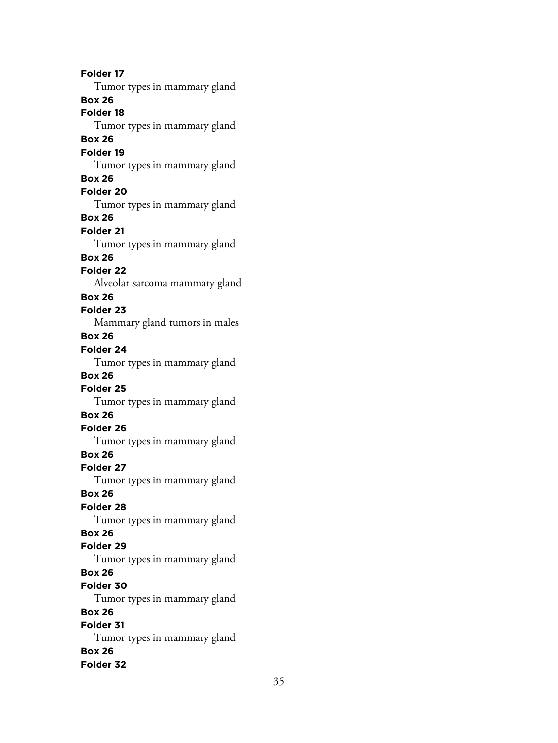**Folder 17** Tumor types in mammary gland **Box 26 Folder 18** Tumor types in mammary gland **Box 26 Folder 19** Tumor types in mammary gland **Box 26 Folder 20** Tumor types in mammary gland **Box 26 Folder 21** Tumor types in mammary gland **Box 26 Folder 22** Alveolar sarcoma mammary gland **Box 26 Folder 23** Mammary gland tumors in males **Box 26 Folder 24** Tumor types in mammary gland **Box 26 Folder 25** Tumor types in mammary gland **Box 26 Folder 26** Tumor types in mammary gland **Box 26 Folder 27** Tumor types in mammary gland **Box 26 Folder 28** Tumor types in mammary gland **Box 26 Folder 29** Tumor types in mammary gland **Box 26 Folder 30** Tumor types in mammary gland **Box 26 Folder 31** Tumor types in mammary gland **Box 26 Folder 32**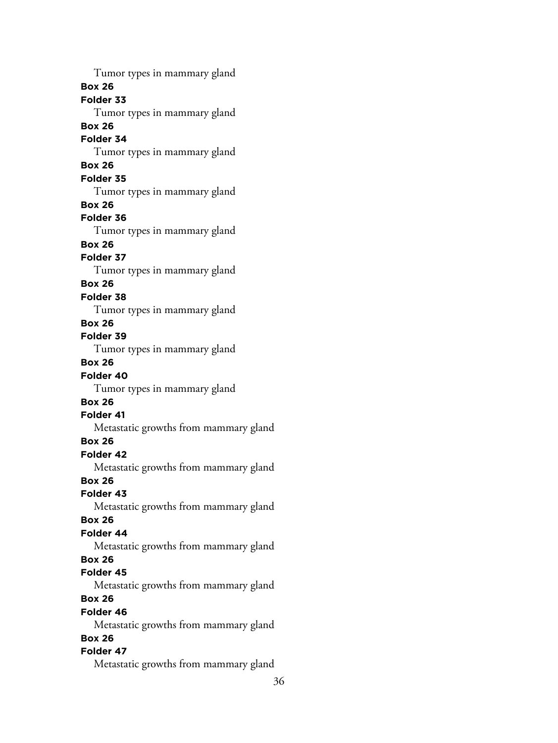Tumor types in mammary gland **Box 26 Folder 33** Tumor types in mammary gland **Box 26 Folder 34** Tumor types in mammary gland **Box 26 Folder 35** Tumor types in mammary gland **Box 26 Folder 36** Tumor types in mammary gland **Box 26 Folder 37** Tumor types in mammary gland **Box 26 Folder 38** Tumor types in mammary gland **Box 26 Folder 39** Tumor types in mammary gland **Box 26 Folder 40** Tumor types in mammary gland **Box 26 Folder 41** Metastatic growths from mammary gland **Box 26 Folder 42** Metastatic growths from mammary gland **Box 26 Folder 43** Metastatic growths from mammary gland **Box 26 Folder 44** Metastatic growths from mammary gland **Box 26 Folder 45** Metastatic growths from mammary gland **Box 26 Folder 46** Metastatic growths from mammary gland **Box 26 Folder 47** Metastatic growths from mammary gland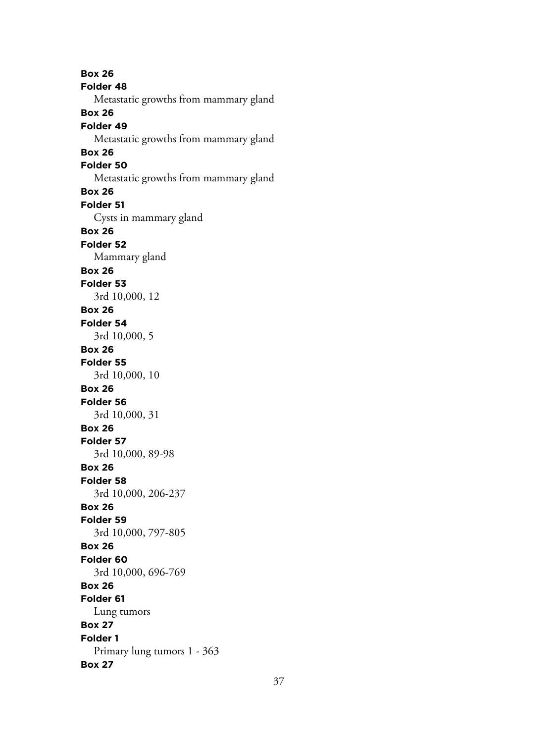**Box 26 Folder 48** Metastatic growths from mammary gland **Box 26 Folder 49** Metastatic growths from mammary gland **Box 26 Folder 50** Metastatic growths from mammary gland **Box 26 Folder 51** Cysts in mammary gland **Box 26 Folder 52** Mammary gland **Box 26 Folder 53** 3rd 10,000, 12 **Box 26 Folder 54** 3rd 10,000, 5 **Box 26 Folder 55** 3rd 10,000, 10 **Box 26 Folder 56** 3rd 10,000, 31 **Box 26 Folder 57** 3rd 10,000, 89-98 **Box 26 Folder 58** 3rd 10,000, 206-237 **Box 26 Folder 59** 3rd 10,000, 797-805 **Box 26 Folder 60** 3rd 10,000, 696-769 **Box 26 Folder 61** Lung tumors **Box 27 Folder 1** Primary lung tumors 1 - 363 **Box 27**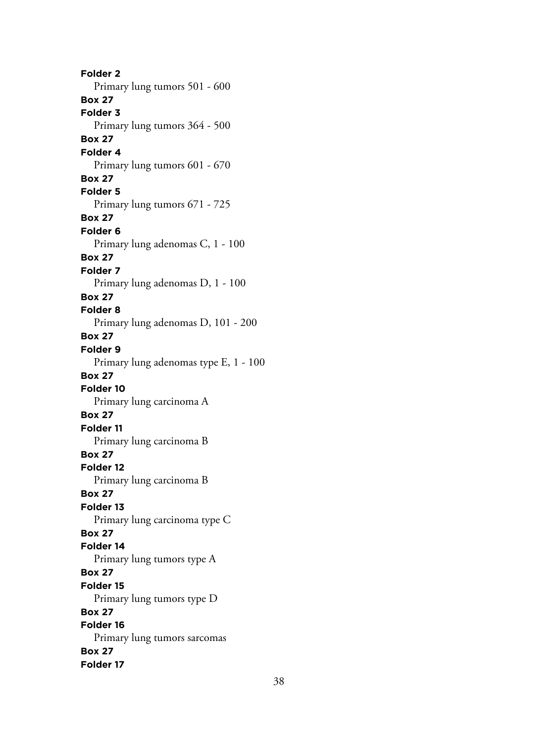**Folder 2** Primary lung tumors 501 - 600 **Box 27 Folder 3** Primary lung tumors 364 - 500 **Box 27 Folder 4** Primary lung tumors 601 - 670 **Box 27 Folder 5** Primary lung tumors 671 - 725 **Box 27 Folder 6** Primary lung adenomas C, 1 - 100 **Box 27 Folder 7** Primary lung adenomas D, 1 - 100 **Box 27 Folder 8** Primary lung adenomas D, 101 - 200 **Box 27 Folder 9** Primary lung adenomas type E, 1 - 100 **Box 27 Folder 10** Primary lung carcinoma A **Box 27 Folder 11** Primary lung carcinoma B **Box 27 Folder 12** Primary lung carcinoma B **Box 27 Folder 13** Primary lung carcinoma type C **Box 27 Folder 14** Primary lung tumors type A **Box 27 Folder 15** Primary lung tumors type D **Box 27 Folder 16** Primary lung tumors sarcomas **Box 27 Folder 17**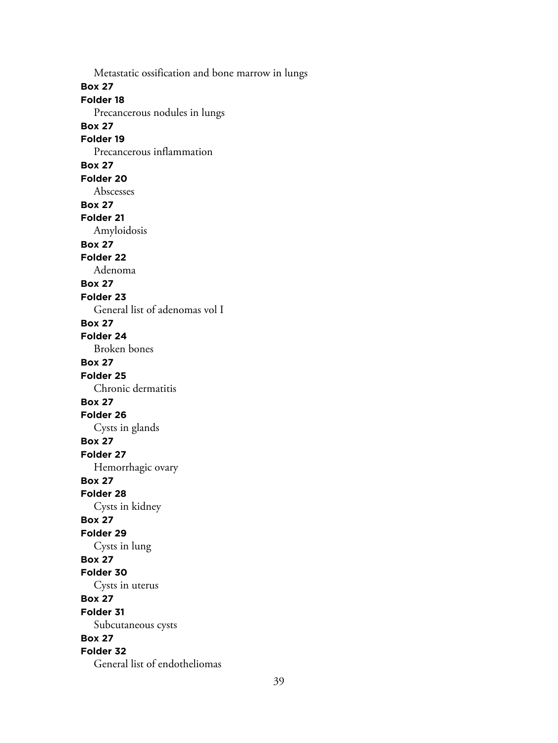Metastatic ossification and bone marrow in lungs **Box 27 Folder 18** Precancerous nodules in lungs **Box 27 Folder 19** Precancerous inflammation **Box 27 Folder 20** Abscesses **Box 27 Folder 21** Amyloidosis **Box 27 Folder 22** Adenoma **Box 27 Folder 23** General list of adenomas vol I **Box 27 Folder 24** Broken bones **Box 27 Folder 25** Chronic dermatitis **Box 27 Folder 26** Cysts in glands **Box 27 Folder 27** Hemorrhagic ovary **Box 27 Folder 28** Cysts in kidney **Box 27 Folder 29** Cysts in lung **Box 27 Folder 30** Cysts in uterus **Box 27 Folder 31** Subcutaneous cysts **Box 27 Folder 32** General list of endotheliomas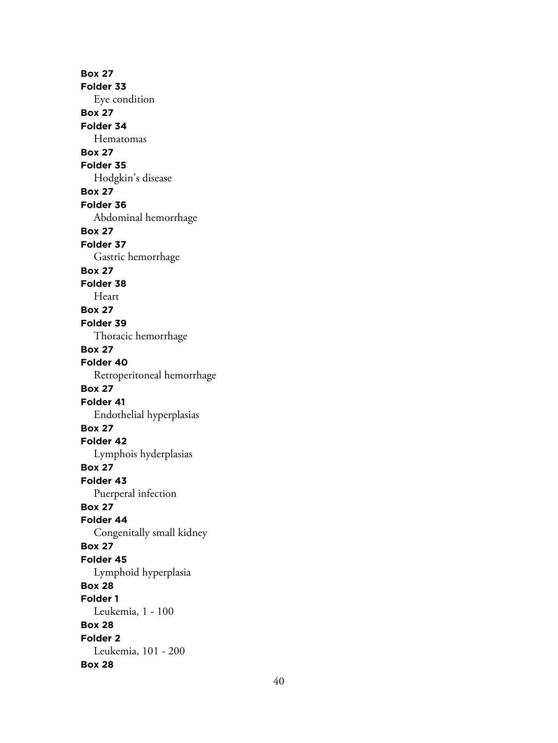**Box 27 Folder 33** Eye condition **Box 27 Folder 34** Hematomas **Box 27 Folder 35** Hodgkin's disease **Box 27 Folder 36** Abdominal hemorrhage **Box 27 Folder 37** Gastric hemorrhage **Box 27 Folder 38** Heart **Box 27 Folder 39** Thoracic hemorrhage **Box 27 Folder 40** Retroperitoneal hemorrhage **Box 27 Folder 41** Endothelial hyperplasias **Box 27 Folder 42** Lymphois hyderplasias **Box 27 Folder 43** Puerperal infection **Box 27 Folder 44** Congenitally small kidney **Box 27 Folder 45** Lymphoid hyperplasia **Box 28 Folder 1** Leukemia, 1 - 100 **Box 28 Folder 2** Leukemia, 101 - 200 **Box 28**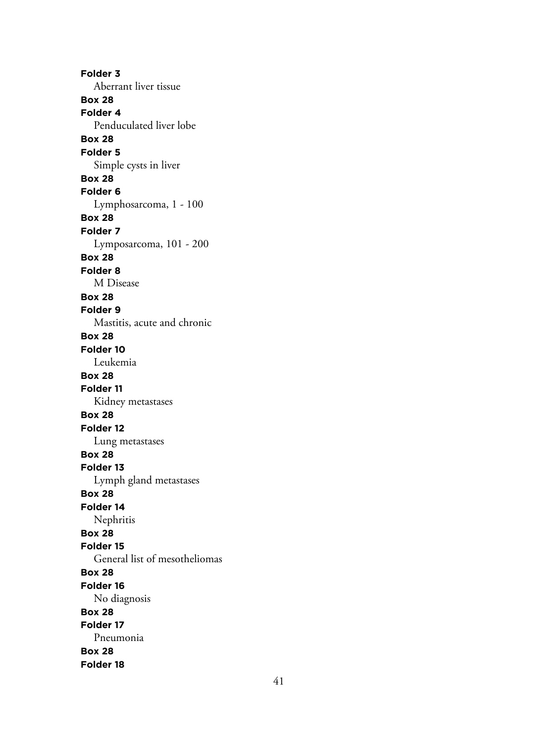**Folder 3** Aberrant liver tissue **Box 28 Folder 4** Penduculated liver lobe **Box 28 Folder 5** Simple cysts in liver **Box 28 Folder 6** Lymphosarcoma, 1 - 100 **Box 28 Folder 7** Lymposarcoma, 101 - 200 **Box 28 Folder 8** M Disease **Box 28 Folder 9** Mastitis, acute and chronic **Box 28 Folder 10** Leukemia **Box 28 Folder 11** Kidney metastases **Box 28 Folder 12** Lung metastases **Box 28 Folder 13** Lymph gland metastases **Box 28 Folder 14** Nephritis **Box 28 Folder 15** General list of mesotheliomas **Box 28 Folder 16** No diagnosis **Box 28 Folder 17** Pneumonia **Box 28 Folder 18**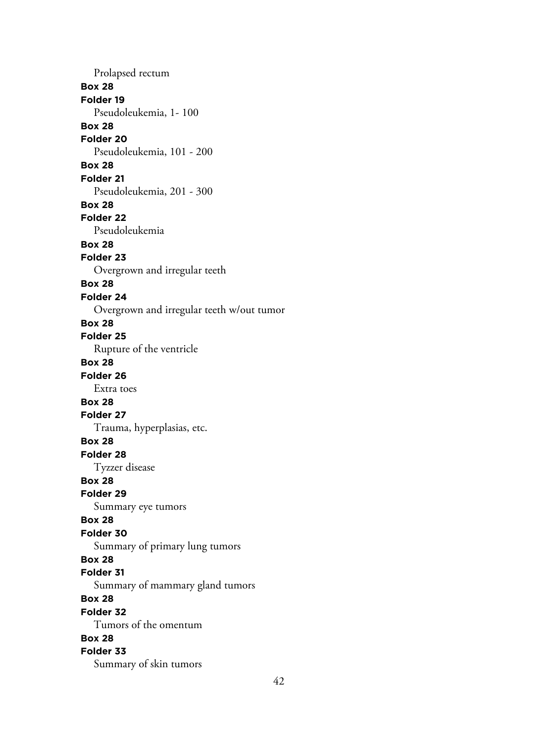Prolapsed rectum **Box 28 Folder 19** Pseudoleukemia, 1- 100 **Box 28 Folder 20** Pseudoleukemia, 101 - 200 **Box 28 Folder 21** Pseudoleukemia, 201 - 300 **Box 28 Folder 22** Pseudoleukemia **Box 28 Folder 23** Overgrown and irregular teeth **Box 28 Folder 24** Overgrown and irregular teeth w/out tumor **Box 28 Folder 25** Rupture of the ventricle **Box 28 Folder 26** Extra toes **Box 28 Folder 27** Trauma, hyperplasias, etc. **Box 28 Folder 28** Tyzzer disease **Box 28 Folder 29** Summary eye tumors **Box 28 Folder 30** Summary of primary lung tumors **Box 28 Folder 31** Summary of mammary gland tumors **Box 28 Folder 32** Tumors of the omentum **Box 28 Folder 33** Summary of skin tumors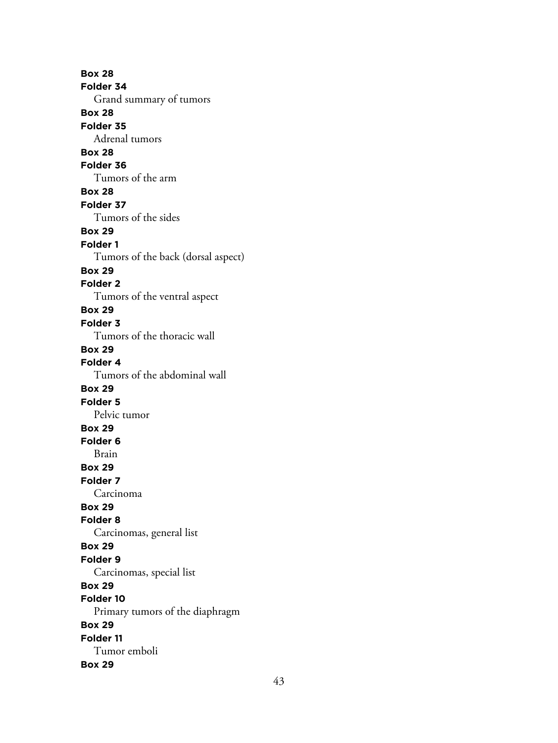**Box 28 Folder 34** Grand summary of tumors **Box 28 Folder 35** Adrenal tumors **Box 28 Folder 36** Tumors of the arm **Box 28 Folder 37** Tumors of the sides **Box 29 Folder 1** Tumors of the back (dorsal aspect) **Box 29 Folder 2** Tumors of the ventral aspect **Box 29 Folder 3** Tumors of the thoracic wall **Box 29 Folder 4** Tumors of the abdominal wall **Box 29 Folder 5** Pelvic tumor **Box 29 Folder 6** Brain **Box 29 Folder 7** Carcinoma **Box 29 Folder 8** Carcinomas, general list **Box 29 Folder 9** Carcinomas, special list **Box 29 Folder 10** Primary tumors of the diaphragm **Box 29 Folder 11** Tumor emboli **Box 29**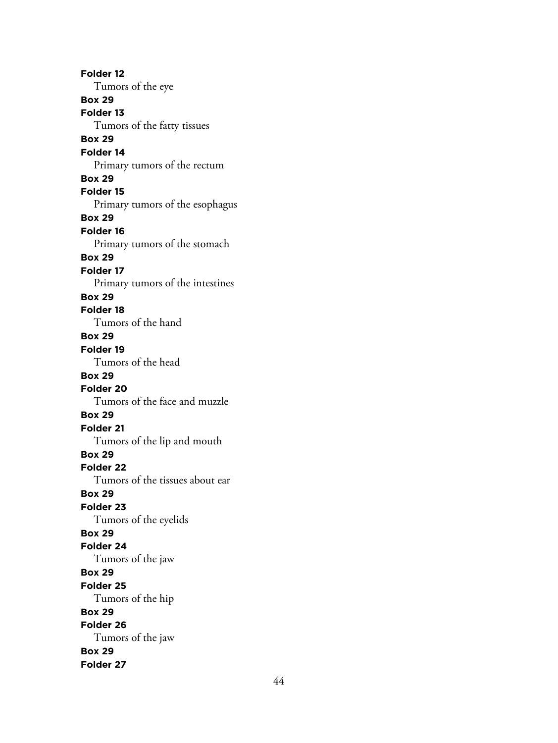**Folder 12** Tumors of the eye **Box 29 Folder 13** Tumors of the fatty tissues **Box 29 Folder 14** Primary tumors of the rectum **Box 29 Folder 15** Primary tumors of the esophagus **Box 29 Folder 16** Primary tumors of the stomach **Box 29 Folder 17** Primary tumors of the intestines **Box 29 Folder 18** Tumors of the hand **Box 29 Folder 19** Tumors of the head **Box 29 Folder 20** Tumors of the face and muzzle **Box 29 Folder 21** Tumors of the lip and mouth **Box 29 Folder 22** Tumors of the tissues about ear **Box 29 Folder 23** Tumors of the eyelids **Box 29 Folder 24** Tumors of the jaw **Box 29 Folder 25** Tumors of the hip **Box 29 Folder 26** Tumors of the jaw **Box 29 Folder 27**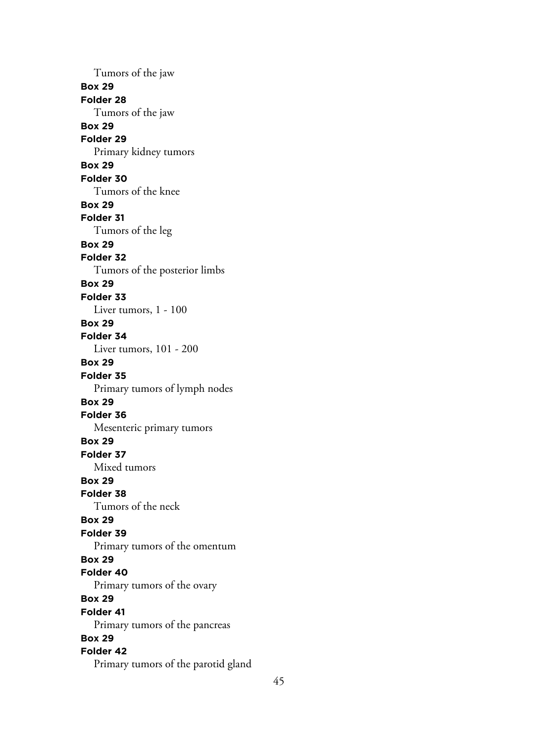Tumors of the jaw **Box 29 Folder 28** Tumors of the jaw **Box 29 Folder 29** Primary kidney tumors **Box 29 Folder 30** Tumors of the knee **Box 29 Folder 31** Tumors of the leg **Box 29 Folder 32** Tumors of the posterior limbs **Box 29 Folder 33** Liver tumors, 1 - 100 **Box 29 Folder 34** Liver tumors, 101 - 200 **Box 29 Folder 35** Primary tumors of lymph nodes **Box 29 Folder 36** Mesenteric primary tumors **Box 29 Folder 37** Mixed tumors **Box 29 Folder 38** Tumors of the neck **Box 29 Folder 39** Primary tumors of the omentum **Box 29 Folder 40** Primary tumors of the ovary **Box 29 Folder 41** Primary tumors of the pancreas **Box 29 Folder 42** Primary tumors of the parotid gland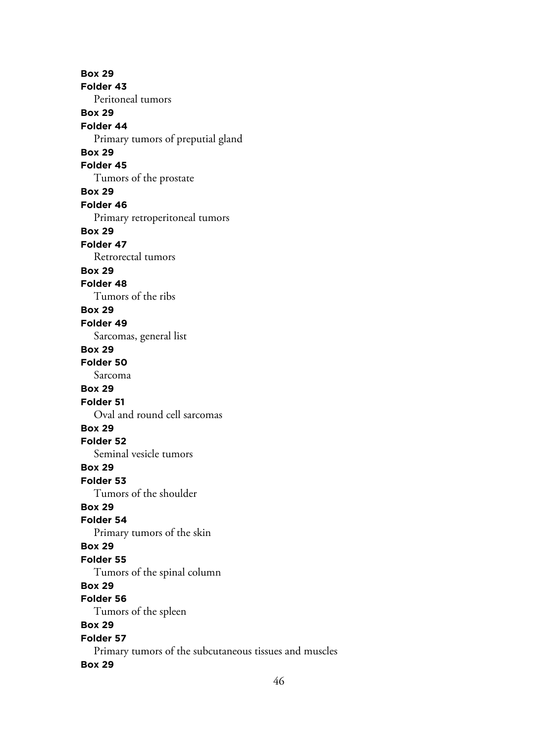**Box 29 Folder 43** Peritoneal tumors **Box 29 Folder 44** Primary tumors of preputial gland **Box 29 Folder 45** Tumors of the prostate **Box 29 Folder 46** Primary retroperitoneal tumors **Box 29 Folder 47** Retrorectal tumors **Box 29 Folder 48** Tumors of the ribs **Box 29 Folder 49** Sarcomas, general list **Box 29 Folder 50** Sarcoma **Box 29 Folder 51** Oval and round cell sarcomas **Box 29 Folder 52** Seminal vesicle tumors **Box 29 Folder 53** Tumors of the shoulder **Box 29 Folder 54** Primary tumors of the skin **Box 29 Folder 55** Tumors of the spinal column **Box 29 Folder 56** Tumors of the spleen **Box 29 Folder 57** Primary tumors of the subcutaneous tissues and muscles **Box 29**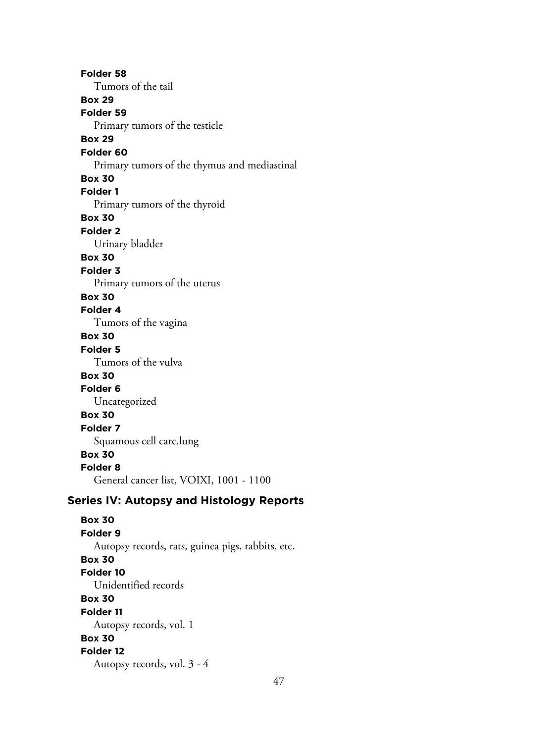**Folder 58** Tumors of the tail **Box 29 Folder 59** Primary tumors of the testicle **Box 29 Folder 60** Primary tumors of the thymus and mediastinal **Box 30 Folder 1** Primary tumors of the thyroid **Box 30 Folder 2** Urinary bladder **Box 30 Folder 3** Primary tumors of the uterus **Box 30 Folder 4** Tumors of the vagina **Box 30 Folder 5** Tumors of the vulva **Box 30 Folder 6** Uncategorized **Box 30 Folder 7** Squamous cell carc.lung **Box 30 Folder 8** General cancer list, VOIXI, 1001 - 1100 **Series IV: Autopsy and Histology Reports Box 30 Folder 9** Autopsy records, rats, guinea pigs, rabbits, etc. **Box 30 Folder 10** Unidentified records **Box 30 Folder 11** Autopsy records, vol. 1

**Box 30**

# **Folder 12**

Autopsy records, vol. 3 - 4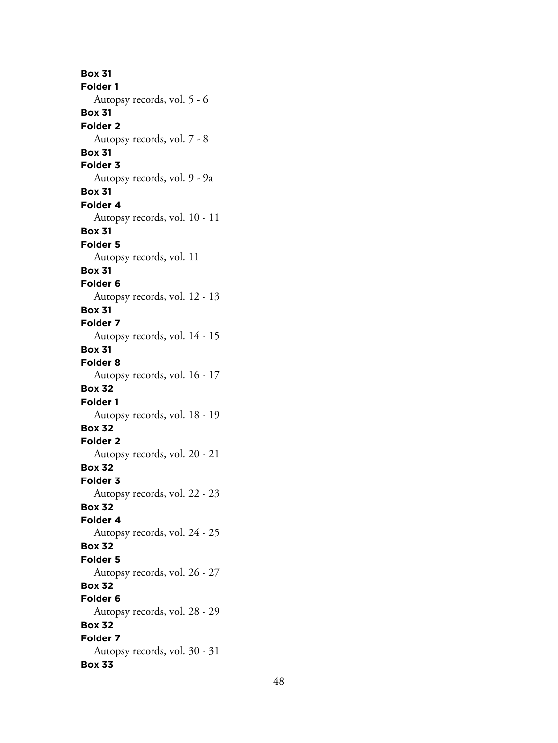**Box 31 Folder 1** Autopsy records, vol. 5 - 6 **Box 31 Folder 2** Autopsy records, vol. 7 - 8 **Box 31 Folder 3** Autopsy records, vol. 9 - 9a **Box 31 Folder 4** Autopsy records, vol. 10 - 11 **Box 31 Folder 5** Autopsy records, vol. 11 **Box 31 Folder 6** Autopsy records, vol. 12 - 13 **Box 31 Folder 7** Autopsy records, vol. 14 - 15 **Box 31 Folder 8** Autopsy records, vol. 16 - 17 **Box 32 Folder 1** Autopsy records, vol. 18 - 19 **Box 32 Folder 2** Autopsy records, vol. 20 - 21 **Box 32 Folder 3** Autopsy records, vol. 22 - 23 **Box 32 Folder 4** Autopsy records, vol. 24 - 25 **Box 32 Folder 5** Autopsy records, vol. 26 - 27 **Box 32 Folder 6** Autopsy records, vol. 28 - 29 **Box 32 Folder 7** Autopsy records, vol. 30 - 31 **Box 33**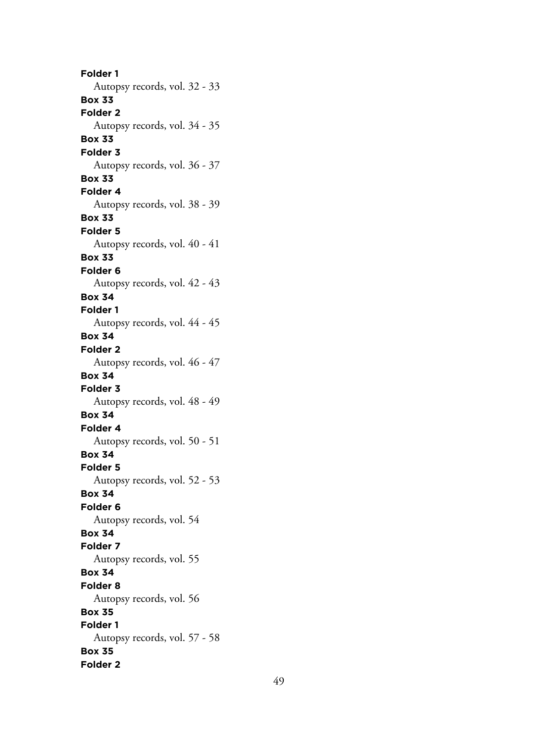**Folder 1** Autopsy records, vol. 32 - 33 **Box 33 Folder 2** Autopsy records, vol. 34 - 35 **Box 33 Folder 3** Autopsy records, vol. 36 - 37 **Box 33 Folder 4** Autopsy records, vol. 38 - 39 **Box 33 Folder 5** Autopsy records, vol. 40 - 41 **Box 33 Folder 6** Autopsy records, vol. 42 - 43 **Box 34 Folder 1** Autopsy records, vol. 44 - 45 **Box 34 Folder 2** Autopsy records, vol. 46 - 47 **Box 34 Folder 3** Autopsy records, vol. 48 - 49 **Box 34 Folder 4** Autopsy records, vol. 50 - 51 **Box 34 Folder 5** Autopsy records, vol. 52 - 53 **Box 34 Folder 6** Autopsy records, vol. 54 **Box 34 Folder 7** Autopsy records, vol. 55 **Box 34 Folder 8** Autopsy records, vol. 56 **Box 35 Folder 1** Autopsy records, vol. 57 - 58 **Box 35 Folder 2**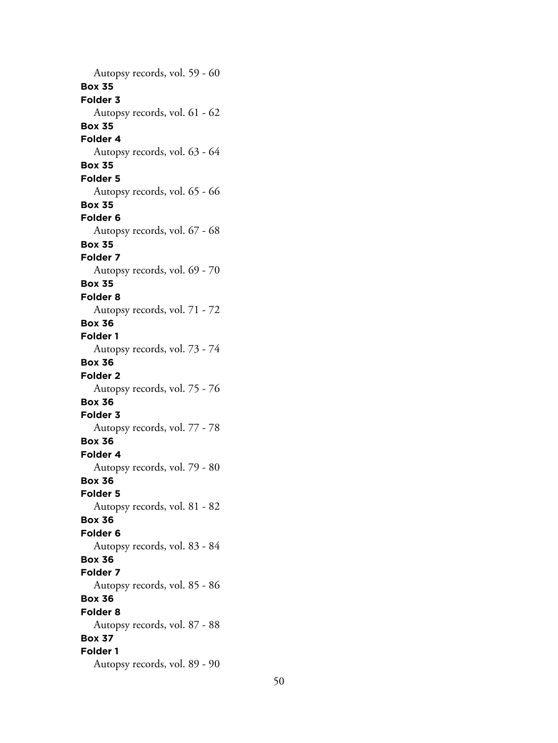Autopsy records, vol. 59 - 60 **Box 35 Folder 3** Autopsy records, vol. 61 - 62 **Box 35 Folder 4** Autopsy records, vol. 63 - 64 **Box 35 Folder 5** Autopsy records, vol. 65 - 66 **Box 35 Folder 6** Autopsy records, vol. 67 - 68 **Box 35 Folder 7** Autopsy records, vol. 69 - 70 **Box 35 Folder 8** Autopsy records, vol. 71 - 72 **Box 36 Folder 1** Autopsy records, vol. 73 - 74 **Box 36 Folder 2** Autopsy records, vol. 75 - 76 **Box 36 Folder 3** Autopsy records, vol. 77 - 78 **Box 36 Folder 4** Autopsy records, vol. 79 - 80 **Box 36 Folder 5** Autopsy records, vol. 81 - 82 **Box 36 Folder 6** Autopsy records, vol. 83 - 84 **Box 36 Folder 7** Autopsy records, vol. 85 - 86 **Box 36 Folder 8** Autopsy records, vol. 87 - 88 **Box 37 Folder 1** Autopsy records, vol. 89 - 90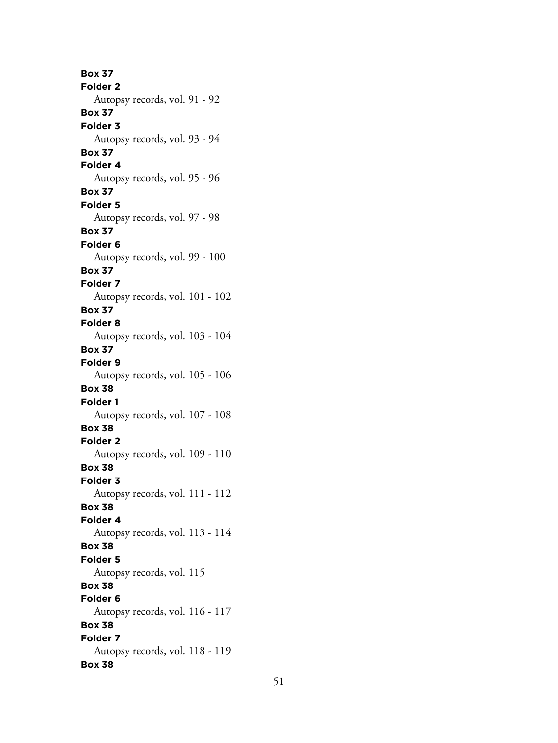**Box 37 Folder 2** Autopsy records, vol. 91 - 92 **Box 37 Folder 3** Autopsy records, vol. 93 - 94 **Box 37 Folder 4** Autopsy records, vol. 95 - 96 **Box 37 Folder 5** Autopsy records, vol. 97 - 98 **Box 37 Folder 6** Autopsy records, vol. 99 - 100 **Box 37 Folder 7** Autopsy records, vol. 101 - 102 **Box 37 Folder 8** Autopsy records, vol. 103 - 104 **Box 37 Folder 9** Autopsy records, vol. 105 - 106 **Box 38 Folder 1** Autopsy records, vol. 107 - 108 **Box 38 Folder 2** Autopsy records, vol. 109 - 110 **Box 38 Folder 3** Autopsy records, vol. 111 - 112 **Box 38 Folder 4** Autopsy records, vol. 113 - 114 **Box 38 Folder 5** Autopsy records, vol. 115 **Box 38 Folder 6** Autopsy records, vol. 116 - 117 **Box 38 Folder 7** Autopsy records, vol. 118 - 119 **Box 38**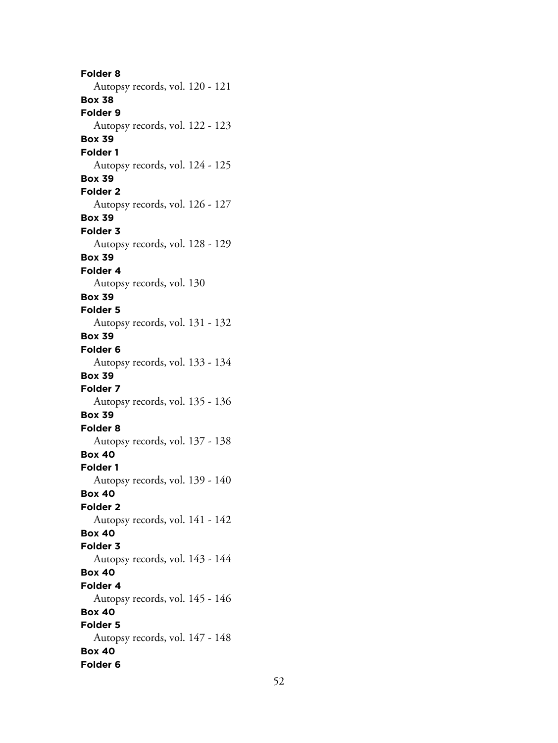**Folder 8** Autopsy records, vol. 120 - 121 **Box 38 Folder 9** Autopsy records, vol. 122 - 123 **Box 39 Folder 1** Autopsy records, vol. 124 - 125 **Box 39 Folder 2** Autopsy records, vol. 126 - 127 **Box 39 Folder 3** Autopsy records, vol. 128 - 129 **Box 39 Folder 4** Autopsy records, vol. 130 **Box 39 Folder 5** Autopsy records, vol. 131 - 132 **Box 39 Folder 6** Autopsy records, vol. 133 - 134 **Box 39 Folder 7** Autopsy records, vol. 135 - 136 **Box 39 Folder 8** Autopsy records, vol. 137 - 138 **Box 40 Folder 1** Autopsy records, vol. 139 - 140 **Box 40 Folder 2** Autopsy records, vol. 141 - 142 **Box 40 Folder 3** Autopsy records, vol. 143 - 144 **Box 40 Folder 4** Autopsy records, vol. 145 - 146 **Box 40 Folder 5** Autopsy records, vol. 147 - 148 **Box 40 Folder 6**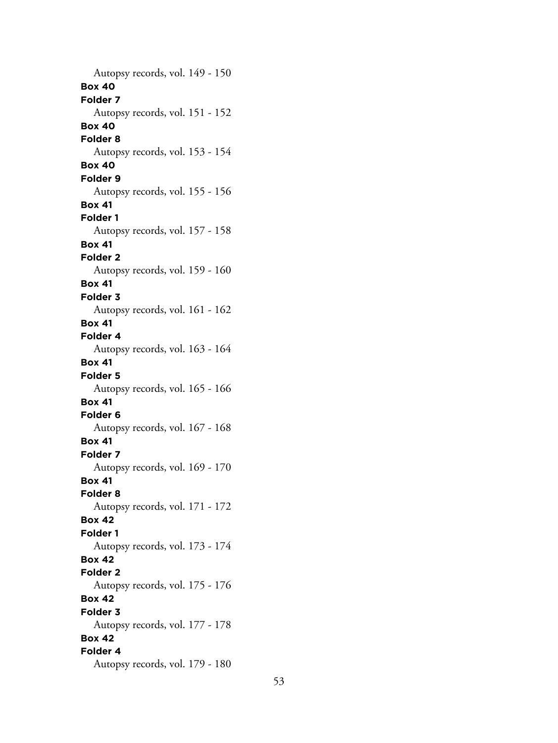Autopsy records, vol. 149 - 150 **Box 40 Folder 7** Autopsy records, vol. 151 - 152 **Box 40 Folder 8** Autopsy records, vol. 153 - 154 **Box 40 Folder 9** Autopsy records, vol. 155 - 156 **Box 41 Folder 1** Autopsy records, vol. 157 - 158 **Box 41 Folder 2** Autopsy records, vol. 159 - 160 **Box 41 Folder 3** Autopsy records, vol. 161 - 162 **Box 41 Folder 4** Autopsy records, vol. 163 - 164 **Box 41 Folder 5** Autopsy records, vol. 165 - 166 **Box 41 Folder 6** Autopsy records, vol. 167 - 168 **Box 41 Folder 7** Autopsy records, vol. 169 - 170 **Box 41 Folder 8** Autopsy records, vol. 171 - 172 **Box 42 Folder 1** Autopsy records, vol. 173 - 174 **Box 42 Folder 2** Autopsy records, vol. 175 - 176 **Box 42 Folder 3** Autopsy records, vol. 177 - 178 **Box 42 Folder 4** Autopsy records, vol. 179 - 180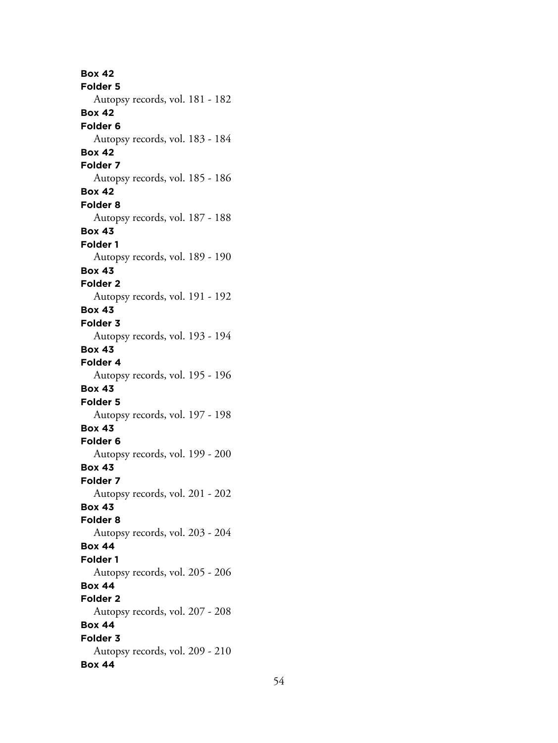**Box 42 Folder 5** Autopsy records, vol. 181 - 182 **Box 42 Folder 6** Autopsy records, vol. 183 - 184 **Box 42 Folder 7** Autopsy records, vol. 185 - 186 **Box 42 Folder 8** Autopsy records, vol. 187 - 188 **Box 43 Folder 1** Autopsy records, vol. 189 - 190 **Box 43 Folder 2** Autopsy records, vol. 191 - 192 **Box 43 Folder 3** Autopsy records, vol. 193 - 194 **Box 43 Folder 4** Autopsy records, vol. 195 - 196 **Box 43 Folder 5** Autopsy records, vol. 197 - 198 **Box 43 Folder 6** Autopsy records, vol. 199 - 200 **Box 43 Folder 7** Autopsy records, vol. 201 - 202 **Box 43 Folder 8** Autopsy records, vol. 203 - 204 **Box 44 Folder 1** Autopsy records, vol. 205 - 206 **Box 44 Folder 2** Autopsy records, vol. 207 - 208 **Box 44 Folder 3** Autopsy records, vol. 209 - 210 **Box 44**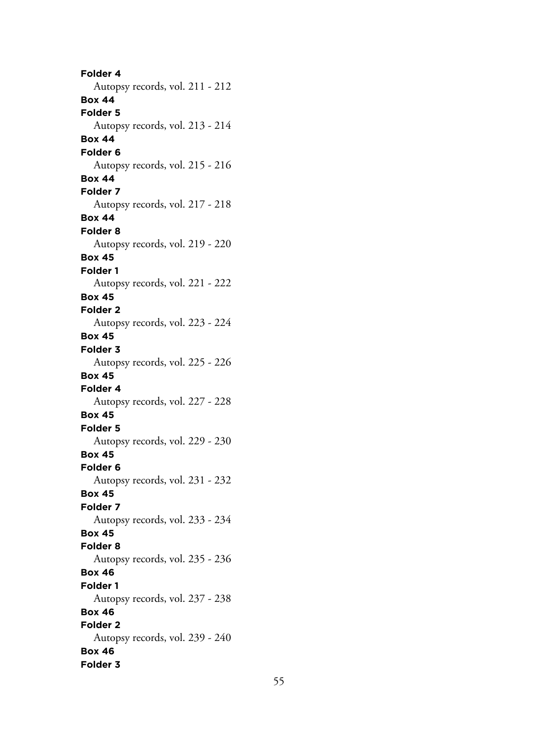**Folder 4** Autopsy records, vol. 211 - 212 **Box 44 Folder 5** Autopsy records, vol. 213 - 214 **Box 44 Folder 6** Autopsy records, vol. 215 - 216 **Box 44 Folder 7** Autopsy records, vol. 217 - 218 **Box 44 Folder 8** Autopsy records, vol. 219 - 220 **Box 45 Folder 1** Autopsy records, vol. 221 - 222 **Box 45 Folder 2** Autopsy records, vol. 223 - 224 **Box 45 Folder 3** Autopsy records, vol. 225 - 226 **Box 45 Folder 4** Autopsy records, vol. 227 - 228 **Box 45 Folder 5** Autopsy records, vol. 229 - 230 **Box 45 Folder 6** Autopsy records, vol. 231 - 232 **Box 45 Folder 7** Autopsy records, vol. 233 - 234 **Box 45 Folder 8** Autopsy records, vol. 235 - 236 **Box 46 Folder 1** Autopsy records, vol. 237 - 238 **Box 46 Folder 2** Autopsy records, vol. 239 - 240 **Box 46 Folder 3**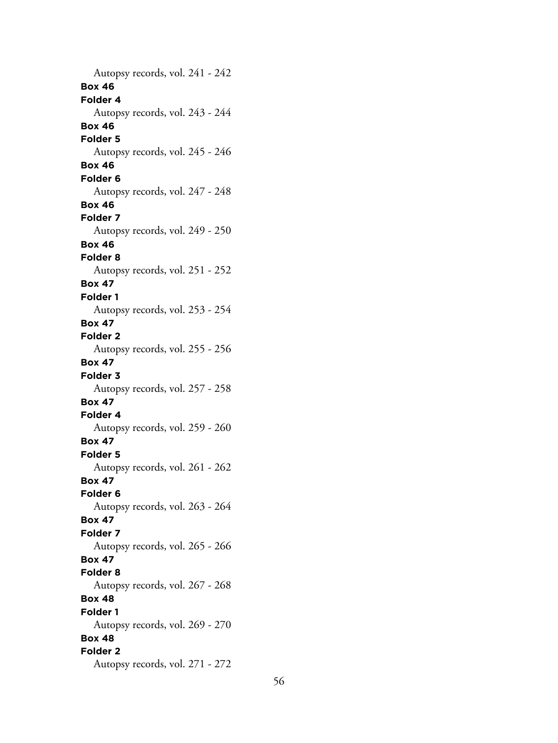Autopsy records, vol. 241 - 242 **Box 46 Folder 4** Autopsy records, vol. 243 - 244 **Box 46 Folder 5** Autopsy records, vol. 245 - 246 **Box 46 Folder 6** Autopsy records, vol. 247 - 248 **Box 46 Folder 7** Autopsy records, vol. 249 - 250 **Box 46 Folder 8** Autopsy records, vol. 251 - 252 **Box 47 Folder 1** Autopsy records, vol. 253 - 254 **Box 47 Folder 2** Autopsy records, vol. 255 - 256 **Box 47 Folder 3** Autopsy records, vol. 257 - 258 **Box 47 Folder 4** Autopsy records, vol. 259 - 260 **Box 47 Folder 5** Autopsy records, vol. 261 - 262 **Box 47 Folder 6** Autopsy records, vol. 263 - 264 **Box 47 Folder 7** Autopsy records, vol. 265 - 266 **Box 47 Folder 8** Autopsy records, vol. 267 - 268 **Box 48 Folder 1** Autopsy records, vol. 269 - 270 **Box 48 Folder 2** Autopsy records, vol. 271 - 272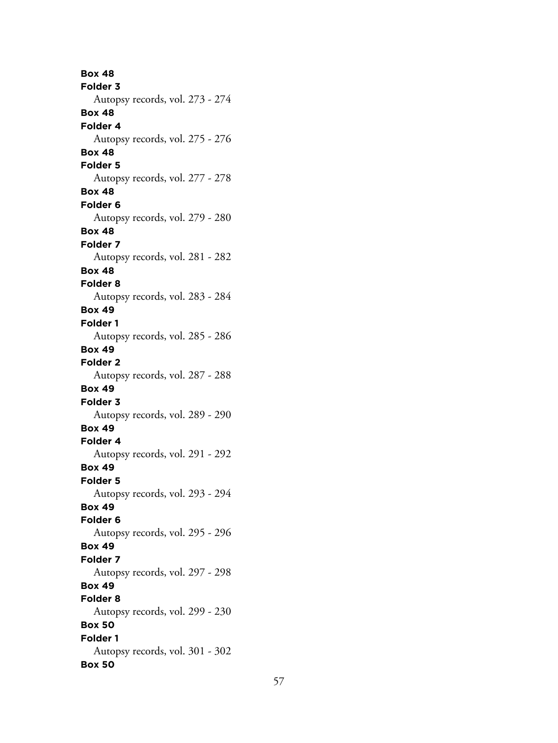**Box 48 Folder 3** Autopsy records, vol. 273 - 274 **Box 48 Folder 4** Autopsy records, vol. 275 - 276 **Box 48 Folder 5** Autopsy records, vol. 277 - 278 **Box 48 Folder 6** Autopsy records, vol. 279 - 280 **Box 48 Folder 7** Autopsy records, vol. 281 - 282 **Box 48 Folder 8** Autopsy records, vol. 283 - 284 **Box 49 Folder 1** Autopsy records, vol. 285 - 286 **Box 49 Folder 2** Autopsy records, vol. 287 - 288 **Box 49 Folder 3** Autopsy records, vol. 289 - 290 **Box 49 Folder 4** Autopsy records, vol. 291 - 292 **Box 49 Folder 5** Autopsy records, vol. 293 - 294 **Box 49 Folder 6** Autopsy records, vol. 295 - 296 **Box 49 Folder 7** Autopsy records, vol. 297 - 298 **Box 49 Folder 8** Autopsy records, vol. 299 - 230 **Box 50 Folder 1** Autopsy records, vol. 301 - 302 **Box 50**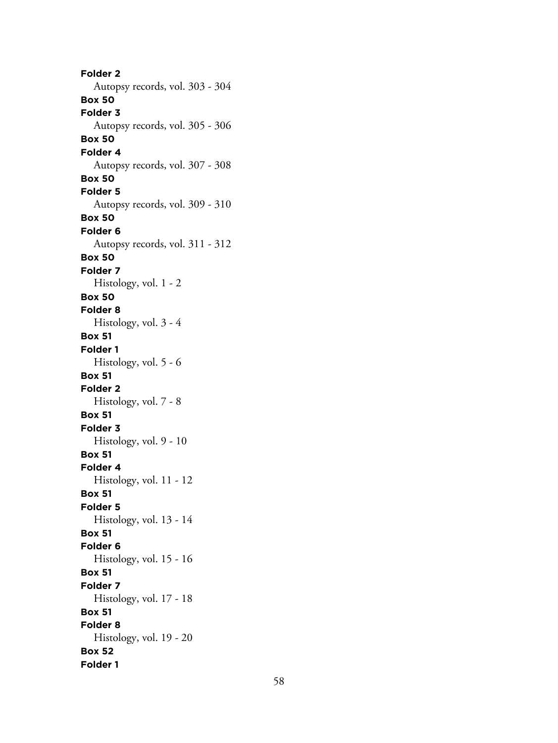**Folder 2** Autopsy records, vol. 303 - 304 **Box 50 Folder 3** Autopsy records, vol. 305 - 306 **Box 50 Folder 4** Autopsy records, vol. 307 - 308 **Box 50 Folder 5** Autopsy records, vol. 309 - 310 **Box 50 Folder 6** Autopsy records, vol. 311 - 312 **Box 50 Folder 7** Histology, vol. 1 - 2 **Box 50 Folder 8** Histology, vol. 3 - 4 **Box 51 Folder 1** Histology, vol. 5 - 6 **Box 51 Folder 2** Histology, vol. 7 - 8 **Box 51 Folder 3** Histology, vol. 9 - 10 **Box 51 Folder 4** Histology, vol. 11 - 12 **Box 51 Folder 5** Histology, vol. 13 - 14 **Box 51 Folder 6** Histology, vol. 15 - 16 **Box 51 Folder 7** Histology, vol. 17 - 18 **Box 51 Folder 8** Histology, vol. 19 - 20 **Box 52 Folder 1**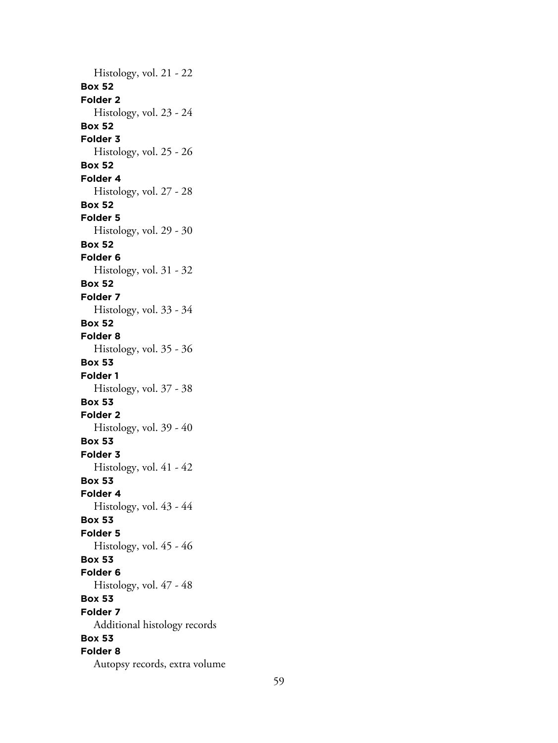Histology, vol. 21 - 22 **Box 52 Folder 2** Histology, vol. 23 - 24 **Box 52 Folder 3** Histology, vol. 25 - 26 **Box 52 Folder 4** Histology, vol. 27 - 28 **Box 52 Folder 5** Histology, vol. 29 - 30 **Box 52 Folder 6** Histology, vol. 31 - 32 **Box 52 Folder 7** Histology, vol. 33 - 34 **Box 52 Folder 8** Histology, vol. 35 - 36 **Box 53 Folder 1** Histology, vol. 37 - 38 **Box 53 Folder 2** Histology, vol. 39 - 40 **Box 53 Folder 3** Histology, vol. 41 - 42 **Box 53 Folder 4** Histology, vol. 43 - 44 **Box 53 Folder 5** Histology, vol. 45 - 46 **Box 53 Folder 6** Histology, vol. 47 - 48 **Box 53 Folder 7** Additional histology records **Box 53 Folder 8** Autopsy records, extra volume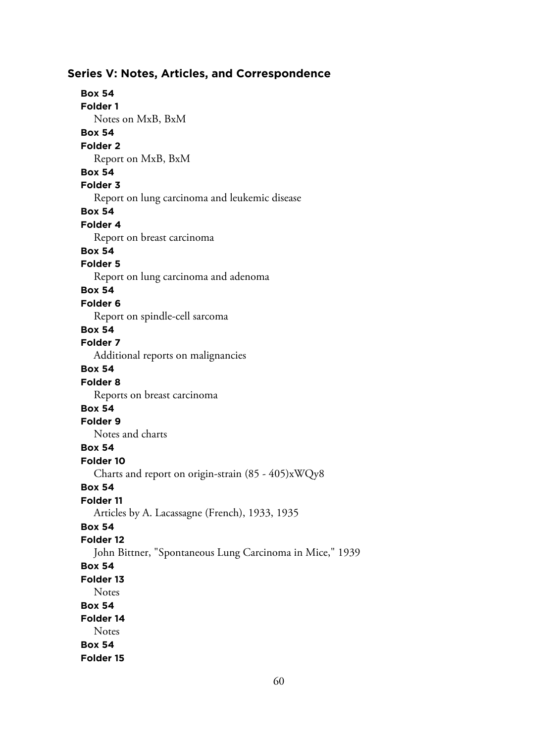# **Series V: Notes, Articles, and Correspondence Box 54 Folder 1** Notes on MxB, BxM **Box 54 Folder 2** Report on MxB, BxM **Box 54 Folder 3** Report on lung carcinoma and leukemic disease **Box 54 Folder 4** Report on breast carcinoma **Box 54 Folder 5** Report on lung carcinoma and adenoma **Box 54 Folder 6** Report on spindle-cell sarcoma **Box 54 Folder 7** Additional reports on malignancies **Box 54 Folder 8** Reports on breast carcinoma **Box 54 Folder 9** Notes and charts **Box 54 Folder 10** Charts and report on origin-strain (85 - 405)xWQy8 **Box 54 Folder 11** Articles by A. Lacassagne (French), 1933, 1935 **Box 54 Folder 12** John Bittner, "Spontaneous Lung Carcinoma in Mice," 1939 **Box 54 Folder 13 Notes Box 54 Folder 14 Notes Box 54 Folder 15**